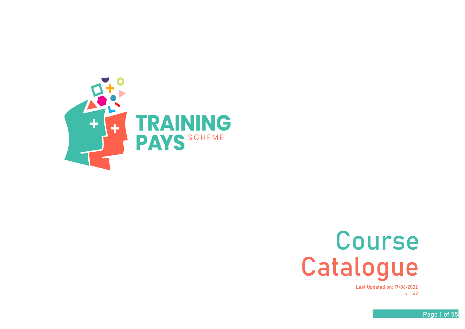

## **Course Catalogue**

**v. 1.42 Last Updated on: 17/06/2022**

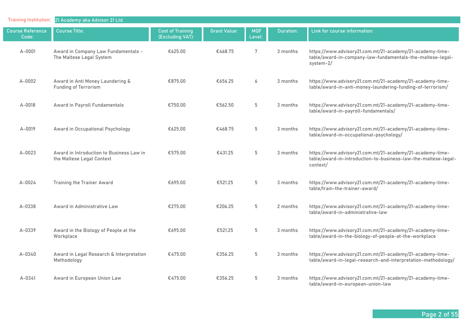| <b>Training Institution:</b>     | 21 Academy aka Advisor 21 Ltd.                                        |                                             |                     |                      |                  |                                                                                                                                         |
|----------------------------------|-----------------------------------------------------------------------|---------------------------------------------|---------------------|----------------------|------------------|-----------------------------------------------------------------------------------------------------------------------------------------|
| <b>Course Reference</b><br>Code: | <b>Course Title:</b>                                                  | <b>Cost of Training</b><br>(Excluding VAT): | <b>Grant Value:</b> | <b>MQF</b><br>Level: | <b>Duration:</b> | Link for course information:                                                                                                            |
| A-0001                           | Award in Company Law Fundamentals -<br>The Maltese Legal System       | €625.00                                     | €468.75             | 7                    | 3 months         | https://www.advisory21.com.mt/21-academy/21-academy-time-<br>table/award-in-company-law-fundamentals-the-maltese-legal-<br>system-2/    |
| $A-0002$                         | Award in Anti Money Laundering &<br><b>Funding of Terrorism</b>       | €875.00                                     | €656.25             | 6                    | 3 months         | https://www.advisory21.com.mt/21-academy/21-academy-time-<br>table/award-in-anti-money-laundering-funding-of-terrorism/                 |
| A-0018                           | Award in Payroll Fundamentals                                         | €750.00                                     | €562.50             | 5                    | 3 months         | https://www.advisory21.com.mt/21-academy/21-academy-time-<br>table/award-in-payroll-fundamentals/                                       |
| A-0019                           | Award in Occupational Psychology                                      | €625.00                                     | €468.75             | $5\,$                | 3 months         | https://www.advisory21.com.mt/21-academy/21-academy-time-<br>table/award-in-occupational-psychology/                                    |
| A-0023                           | Award in Introduction to Business Law in<br>the Maltese Legal Context | €575.00                                     | €431.25             | 5                    | 3 months         | https://www.advisory21.com.mt/21-academy/21-academy-time-<br>table/award-in-introduction-to-business-law-the-maltese-legal-<br>context/ |
| $A - 0024$                       | <b>Training the Trainer Award</b>                                     | €695.00                                     | €521.25             | 5                    | 3 months         | https://www.advisory21.com.mt/21-academy/21-academy-time-<br>table/train-the-trainer-award/                                             |
| A-0338                           | Award in Administrative Law                                           | €275.00                                     | €206.25             | $5\,$                | 2 months         | https://www.advisory21.com.mt/21-academy/21-academy-time-<br>table/award-in-administrative-law                                          |
| A-0339                           | Award in the Biology of People at the<br>Workplace                    | €695.00                                     | €521.25             | $5\,$                | 3 months         | https://www.advisory21.com.mt/21-academy/21-academy-time-<br>table/award-in-the-biology-of-people-at-the-workplace                      |
| $A - 0340$                       | Award in Legal Research & Interpretation<br>Methodology               | €475.00                                     | €356.25             | 5                    | 3 months         | https://www.advisory21.com.mt/21-academy/21-academy-time-<br>table/award-in-legal-research-and-interpretation-methodology/              |
| $A - 0341$                       | Award in European Union Law                                           | €475.00                                     | €356.25             | $5\phantom{.0}$      | 3 months         | https://www.advisory21.com.mt/21-academy/21-academy-time-<br>table/award-in-european-union-law                                          |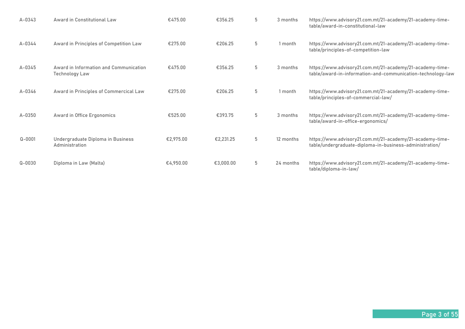| $A - 0343$ | Award in Constitutional Law                              | €475.00   | €356.25   | 5 | 3 months  | https://www.advisory21.com.mt/21-academy/21-academy-time-<br>table/award-in-constitutional-law                           |
|------------|----------------------------------------------------------|-----------|-----------|---|-----------|--------------------------------------------------------------------------------------------------------------------------|
| $A - 0344$ | Award in Principles of Competition Law                   | €275.00   | €206.25   | 5 | 1 month   | https://www.advisory21.com.mt/21-academy/21-academy-time-<br>table/principles-of-competition-law                         |
| A-0345     | Award in Information and Communication<br>Technology Law | €475.00   | €356.25   | 5 | 3 months  | https://www.advisory21.com.mt/21-academy/21-academy-time-<br>table/award-in-information-and-communication-technology-law |
| $A - 0346$ | Award in Principles of Commercical Law                   | €275.00   | €206.25   | 5 | 1 month   | https://www.advisory21.com.mt/21-academy/21-academy-time-<br>table/principles-of-commercial-law/                         |
| $A - 0350$ | Award in Office Ergonomics                               | €525.00   | €393.75   | 5 | 3 months  | https://www.advisory21.com.mt/21-academy/21-academy-time-<br>table/award-in-office-ergonomics/                           |
| $Q - 0001$ | Undergraduate Diploma in Business<br>Administration      | €2,975.00 | €2,231.25 | 5 | 12 months | https://www.advisory21.com.mt/21-academy/21-academy-time-<br>table/undergraduate-diploma-in-business-administration/     |
| $Q - 0030$ | Diploma in Law (Malta)                                   | €4,950.00 | €3,000.00 | 5 | 24 months | https://www.advisory21.com.mt/21-academy/21-academy-time-<br>table/diploma-in-law/                                       |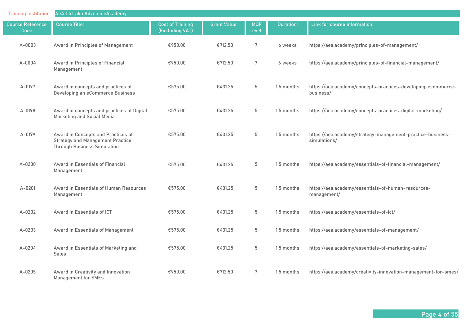| <b>Training Institution:</b>     | AeA Ltd. aka Advenio eAcademy                                                                                       |                                             |                     |                      |            |                                                                            |
|----------------------------------|---------------------------------------------------------------------------------------------------------------------|---------------------------------------------|---------------------|----------------------|------------|----------------------------------------------------------------------------|
| <b>Course Reference</b><br>Code: | <b>Course Title:</b>                                                                                                | <b>Cost of Training</b><br>(Excluding VAT): | <b>Grant Value:</b> | <b>MQF</b><br>Level: | Duration:  | Link for course information:                                               |
| $A-0003$                         | Award in Principles of Management                                                                                   | €950.00                                     | €712.50             | 7                    | 6 weeks    | https://aea.academy/principles-of-management/                              |
| A-0004                           | Award in Principles of Financial<br>Management                                                                      | €950.00                                     | €712.50             | 7                    | 6 weeks    | https://aea.academy/principles-of-financial-management/                    |
| A-0197                           | Award in concepts and practices of<br>Developing an eCommerce Business                                              | €575.00                                     | €431.25             | $5\,$                | 1.5 months | https://aea.academy/concepts-practices-developing-ecommerce-<br>business/  |
| $A - 0198$                       | Award in concepts and practices of Digital<br>Marketing and Social Media                                            | €575.00                                     | €431.25             | 5                    | 1.5 months | https://aea.academy/concepts-practices-digital-marketing/                  |
| A-0199                           | Award in Concepts and Practices of<br><b>Strategy and Management Practice</b><br><b>Through Business Simulation</b> | €575.00                                     | €431.25             | 5                    | 1.5 months | https://aea.academy/strategy-management-practice-business-<br>simulations/ |
| $A - 0200$                       | Award in Essentials of Financial<br>Management                                                                      | €575.00                                     | €431.25             | 5                    | 1.5 months | https://aea.academy/essentials-of-financial-management/                    |
| $A - 0201$                       | Award in Essentials of Human Resources<br>Management                                                                | €575.00                                     | €431.25             | 5                    | 1.5 months | https://aea.academy/essentials-of-human-resources-<br>management/          |
| $A-0202$                         | Award in Essentials of ICT                                                                                          | €575.00                                     | €431.25             | 5                    | 1.5 months | https://aea.academy/essentials-of-ict/                                     |
| $A - 0203$                       | Award in Essentials of Management                                                                                   | €575.00                                     | €431.25             | 5                    | 1.5 months | https://aea.academy/essentials-of-management/                              |
| A-0204                           | Award in Essentials of Marketing and<br>Sales                                                                       | €575.00                                     | €431.25             | $5\,$                | 1.5 months | https://aea.academy/essentials-of-marketing-sales/                         |
| $A - 0205$                       | Award in Creativity and Innovation<br>Management for SMEs                                                           | €950.00                                     | €712.50             | 7                    | 1.5 months | https://aea.academy/creativity-innovation-management-for-smes/             |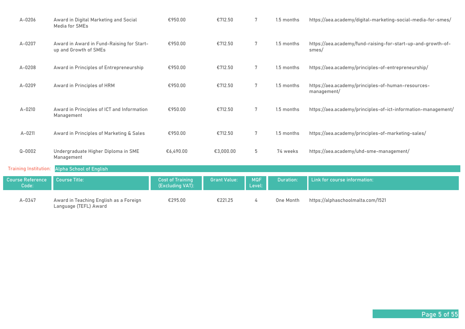| $A - 0206$                       | Award in Digital Marketing and Social<br>Media for SMEs            | €950.00                                     | €712.50             | 7                    | 1.5 months | https://aea.academy/digital-marketing-social-media-for-smes/          |
|----------------------------------|--------------------------------------------------------------------|---------------------------------------------|---------------------|----------------------|------------|-----------------------------------------------------------------------|
| A-0207                           | Award in Award in Fund-Raising for Start-<br>up and Growth of SMEs | €950.00                                     | €712.50             | 7                    | 1.5 months | https://aea.academy/fund-raising-for-start-up-and-growth-of-<br>smes/ |
| $A-0208$                         | Award in Principles of Entrepreneurship                            | €950.00                                     | €712.50             | $7\phantom{.0}$      | 1.5 months | https://aea.academy/principles-of-entrepreneurship/                   |
| A-0209                           | Award in Principles of HRM                                         | €950.00                                     | €712.50             | 7                    | 1.5 months | https://aea.academy/principles-of-human-resources-<br>management/     |
| $A - 0210$                       | Award in Principles of ICT and Information<br>Management           | €950.00                                     | €712.50             | $7\phantom{.0}$      | 1.5 months | https://aea.academy/principles-of-ict-information-management/         |
| $A - 0211$                       | Award in Principles of Marketing & Sales                           | €950.00                                     | €712.50             | 7                    | 1.5 months | https://aea.academy/principles-of-marketing-sales/                    |
| $Q - 0002$                       | Undergraduate Higher Diploma in SME<br>Management                  | €6,490.00                                   | €3,000.00           | 5                    | 74 weeks   | https://aea.academy/uhd-sme-management/                               |
| <b>Training Institution:</b>     | Alpha School of English                                            |                                             |                     |                      |            |                                                                       |
| <b>Course Reference</b><br>Code: | <b>Course Title:</b>                                               | <b>Cost of Training</b><br>(Excluding VAT): | <b>Grant Value:</b> | <b>MQF</b><br>Level: | Duration:  | Link for course information:                                          |
| A-0347                           | Award in Teaching English as a Foreign<br>Language (TEFL) Award    | €295.00                                     | €221.25             | 4                    | One Month  | https://alphaschoolmalta.com/1521                                     |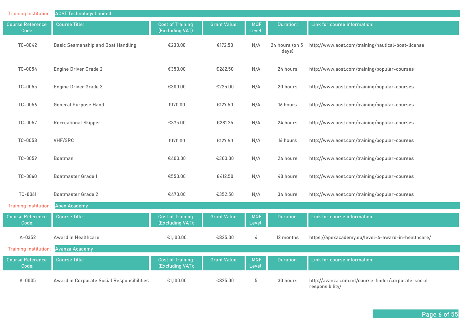| <b>Training Institution:</b>     | <b>AOST Technology Limited</b>             |                                             |                     |                      |                         |                                                                         |
|----------------------------------|--------------------------------------------|---------------------------------------------|---------------------|----------------------|-------------------------|-------------------------------------------------------------------------|
| <b>Course Reference</b><br>Code: | <b>Course Title:</b>                       | <b>Cost of Training</b><br>(Excluding VAT): | <b>Grant Value:</b> | <b>MQF</b><br>Level: | Duration:               | Link for course information:                                            |
| TC-0042                          | Basic Seamanship and Boat Handling         | €230.00                                     | €172.50             | N/A                  | 24 hours (on 5<br>days) | http://www.aost.com/training/nautical-boat-license                      |
| TC-0054                          | <b>Engine Driver Grade 2</b>               | €350.00                                     | €262.50             | N/A                  | 24 hours                | http://www.aost.com/training/popular-courses                            |
| TC-0055                          | Engine Driver Grade 3                      | €300.00                                     | €225.00             | N/A                  | 20 hours                | http://www.aost.com/training/popular-courses                            |
| TC-0056                          | <b>General Purpose Hand</b>                | €170.00                                     | €127.50             | N/A                  | 16 hours                | http://www.aost.com/training/popular-courses                            |
| TC-0057                          | <b>Recreational Skipper</b>                | €375.00                                     | €281.25             | N/A                  | 24 hours                | http://www.aost.com/training/popular-courses                            |
| TC-0058                          | VHF/SRC                                    | €170.00                                     | €127.50             | N/A                  | 16 hours                | http://www.aost.com/training/popular-courses                            |
| TC-0059                          | Boatman                                    | €400.00                                     | €300.00             | N/A                  | 24 hours                | http://www.aost.com/training/popular-courses                            |
| TC-0060                          | <b>Boatmaster Grade 1</b>                  | €550.00                                     | €412.50             | N/A                  | 40 hours                | http://www.aost.com/training/popular-courses                            |
| TC-0061                          | <b>Boatmaster Grade 2</b>                  | €470.00                                     | €352.50             | N/A                  | 34 hours                | http://www.aost.com/training/popular-courses                            |
| <b>Training Institution:</b>     | <b>Apex Academy</b>                        |                                             |                     |                      |                         |                                                                         |
| <b>Course Reference</b><br>Code: | <b>Course Title:</b>                       | <b>Cost of Training</b><br>(Excluding VAT): | <b>Grant Value:</b> | <b>MQF</b><br>Level: | <b>Duration:</b>        | Link for course information:                                            |
| $A - 0352$                       | Award in Healthcare                        | €1,100.00                                   | €825.00             | 4                    | 12 months               | https://apexacademy.eu/level-4-award-in-healthcare/                     |
| <b>Training Institution:</b>     | <b>Avanza Academy</b>                      |                                             |                     |                      |                         |                                                                         |
| Course Reference<br>Code:        | <b>Course Title:</b>                       | <b>Cost of Training</b><br>(Excluding VAT): | <b>Grant Value:</b> | <b>MQF</b><br>Level: | <b>Duration:</b>        | Link for course information:                                            |
| $A - 0005$                       | Award in Corporate Social Responsibilities | €1,100.00                                   | €825.00             | 5                    | 30 hours                | http://avanza.com.mt/course-finder/corporate-social-<br>responsibility/ |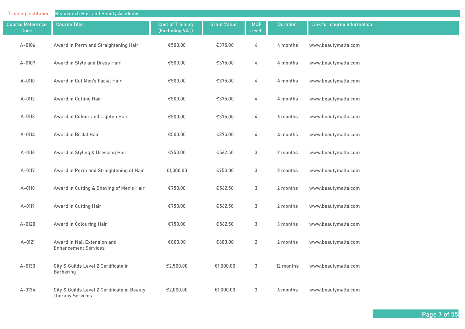| <b>Training Institution:</b>     | <b>Beautytech Hair and Beauty Academy</b>                              |                                             |                     |                      |                  |                              |
|----------------------------------|------------------------------------------------------------------------|---------------------------------------------|---------------------|----------------------|------------------|------------------------------|
| <b>Course Reference</b><br>Code: | <b>Course Title:</b>                                                   | <b>Cost of Training</b><br>(Excluding VAT): | <b>Grant Value:</b> | <b>MQF</b><br>Level: | <b>Duration:</b> | Link for course information: |
| $A - 0106$                       | Award in Perm and Straightening Hair                                   | €500.00                                     | €375.00             | 4                    | 4 months         | www.beautymalta.com          |
| $A-0107$                         | Award in Style and Dress Hair                                          | €500.00                                     | €375.00             | 4                    | 4 months         | www.beautymalta.com          |
| A-0110                           | Award in Cut Men's Facial Hair                                         | €500.00                                     | €375.00             | 4                    | 4 months         | www.beautymalta.com          |
| A-0112                           | Award in Cutting Hair                                                  | €500.00                                     | €375.00             | 4                    | 4 months         | www.beautymalta.com          |
| A-0113                           | Award in Colour and Lighten Hair                                       | €500.00                                     | €375.00             | 4                    | 6 months         | www.beautymalta.com          |
| A-0114                           | Award in Bridal Hair                                                   | €500.00                                     | €375.00             | 4                    | 4 months         | www.beautymalta.com          |
| $A-0116$                         | Award in Styling & Dressing Hair                                       | €750.00                                     | €562.50             | $\mathfrak{S}$       | 2 months         | www.beautymalta.com          |
| A-0117                           | Award in Perm and Straightening of Hair                                | €1,000.00                                   | €750.00             | 3                    | 2 months         | www.beautymalta.com          |
| A-0118                           | Award in Cutting & Shaving of Men's Hair                               | €750.00                                     | €562.50             | $\mathbf{3}$         | 2 months         | www.beautymalta.com          |
| A-0119                           | Award in Cutting Hair                                                  | €750.00                                     | €562.50             | $\mathbf{3}$         | 2 months         | www.beautymalta.com          |
| A-0120                           | Award in Colouring Hair                                                | €750.00                                     | €562.50             | 3                    | 3 months         | www.beautymalta.com          |
| $A - 0121$                       | Award in Nail Extension and<br><b>Enhancement Services</b>             | €800.00                                     | €600.00             | $\overline{2}$       | 2 months         | www.beautymalta.com          |
| $A-0133$                         | City & Guilds Level 2 Certificate in<br><b>Barbering</b>               | €2,500.00                                   | €1,000.00           | 3                    | 12 months        | www.beautymalta.com          |
| A-0134                           | City & Guilds Level 2 Certificate in Beauty<br><b>Therapy Services</b> | €2,000.00                                   | €1,000.00           | 3                    | 6 months         | www.beautymalta.com          |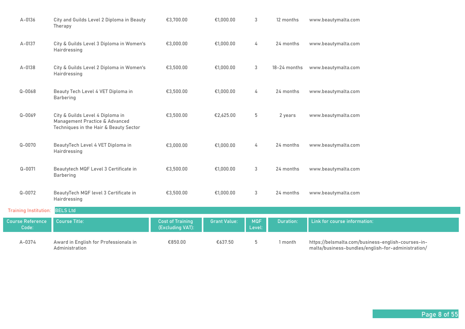| A-0374                           | Award in English for Professionals in<br>Administration                                                      | €850.00                                     | €637.50             | 5                    | 1 month      | https://belsmalta.com/business-english-courses-in-<br>malta/business-bundles/english-for-administration/ |
|----------------------------------|--------------------------------------------------------------------------------------------------------------|---------------------------------------------|---------------------|----------------------|--------------|----------------------------------------------------------------------------------------------------------|
| <b>Course Reference</b><br>Code: | <b>Course Title:</b>                                                                                         | <b>Cost of Training</b><br>(Excluding VAT): | <b>Grant Value:</b> | <b>MQF</b><br>Level: | Duration:    | Link for course information:                                                                             |
| <b>Training Institution:</b>     | <b>BELS Ltd</b>                                                                                              |                                             |                     |                      |              |                                                                                                          |
| $Q - 0072$                       | BeautyTech MQF level 3 Certificate in<br>Hairdressing                                                        | €3,500.00                                   | €1,000.00           | 3                    | 24 months    | www.beautymalta.com                                                                                      |
| $Q - 0071$                       | Beautytech MQF Level 3 Certificate in<br>Barbering                                                           | €3,500.00                                   | €1,000.00           | 3                    | 24 months    | www.beautymalta.com                                                                                      |
| $Q - 0070$                       | BeautyTech Level 4 VET Diploma in<br>Hairdressing                                                            | €3,000.00                                   | €1,000.00           | 4                    | 24 months    | www.beautymalta.com                                                                                      |
| $Q - 0069$                       | City & Guilds Level 4 Diploma in<br>Management Practice & Advanced<br>Techniques in the Hair & Beauty Sector | €3,500.00                                   | €2,625.00           | 5                    | 2 years      | www.beautymalta.com                                                                                      |
| $Q - 0068$                       | Beauty Tech Level 4 VET Diploma in<br>Barbering                                                              | €3,500.00                                   | €1,000.00           | 4                    | 24 months    | www.beautymalta.com                                                                                      |
| A-0138                           | City & Guilds Level 2 Diploma in Women's<br>Hairdressing                                                     | €3,500.00                                   | €1,000.00           | 3                    | 18-24 months | www.beautymalta.com                                                                                      |
| A-0137                           | City & Guilds Level 3 Diploma in Women's<br>Hairdressing                                                     | €3,000.00                                   | €1,000.00           | 4                    | 24 months    | www.beautymalta.com                                                                                      |
| A-0136                           | City and Guilds Level 2 Diploma in Beauty<br>Therapy                                                         | €3,700.00                                   | €1,000.00           | 3                    | 12 months    | www.beautymalta.com                                                                                      |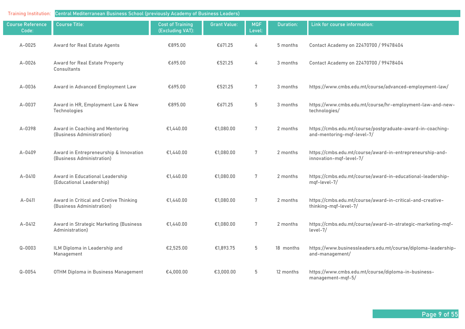| <b>Training Institution:</b>     | Central Mediterranean Business School (previously Academy of Business Leaders) |                                             |                     |                      |           |                                                                                          |  |  |
|----------------------------------|--------------------------------------------------------------------------------|---------------------------------------------|---------------------|----------------------|-----------|------------------------------------------------------------------------------------------|--|--|
| <b>Course Reference</b><br>Code: | <b>Course Title:</b>                                                           | <b>Cost of Training</b><br>(Excluding VAT): | <b>Grant Value:</b> | <b>MQF</b><br>Level: | Duration: | Link for course information:                                                             |  |  |
| $A - 0025$                       | Award for Real Estate Agents                                                   | €895.00                                     | €671.25             | 4                    | 5 months  | Contact Academy on 22470700 / 99478404                                                   |  |  |
| $A - 0026$                       | Award for Real Estate Property<br>Consultants                                  | €695.00                                     | €521.25             | 4                    | 3 months  | Contact Academy on 22470700 / 99478404                                                   |  |  |
| A-0036                           | Award in Advanced Employment Law                                               | €695.00                                     | €521.25             | 7                    | 3 months  | https://www.cmbs.edu.mt/course/advanced-employment-law/                                  |  |  |
| A-0037                           | Award in HR, Employment Law & New<br>Technologies                              | €895.00                                     | €671.25             | $5\,$                | 3 months  | https://www.cmbs.edu.mt/course/hr-employment-law-and-new-<br>technologies/               |  |  |
| A-0398                           | Award in Coaching and Mentoring<br>(Business Administration)                   | €1,440.00                                   | €1,080.00           | $7\phantom{.0}$      | 2 months  | https://cmbs.edu.mt/course/postgraduate-award-in-coaching-<br>and-mentoring-mqf-level-7/ |  |  |
| A-0409                           | Award in Entrepreneurship & Innovation<br>(Business Administration)            | €1,440.00                                   | €1,080.00           | $7\phantom{.}$       | 2 months  | https://cmbs.edu.mt/course/award-in-entrepreneurship-and-<br>innovation-mqf-level-7/     |  |  |
| $A - 0410$                       | Award in Educational Leadership<br>(Educational Leadership)                    | €1.440.00                                   | €1,080.00           | 7                    | 2 months  | https://cmbs.edu.mt/course/award-in-educational-leadership-<br>mqf-level-7/              |  |  |
| $A - 0411$                       | Award in Critical and Cretive Thinking<br>(Business Administration)            | €1,440.00                                   | €1,080.00           | $7\phantom{.0}$      | 2 months  | https://cmbs.edu.mt/course/award-in-critical-and-creative-<br>thinking-mqf-level-7/      |  |  |
| A-0412                           | Award in Strategic Marketing (Business<br>Administration)                      | €1,440.00                                   | €1,080.00           | 7                    | 2 months  | https://cmbs.edu.mt/course/award-in-strategic-marketing-mqf-<br>level-7/                 |  |  |
| $Q - 0003$                       | ILM Diploma in Leadership and<br>Management                                    | €2,525.00                                   | €1,893.75           | 5                    | 18 months | https://www.businessleaders.edu.mt/course/diploma-leadership-<br>and-management/         |  |  |
| $Q - 0054$                       | OTHM Diploma in Business Management                                            | €4,000.00                                   | €3,000.00           | 5                    | 12 months | https://www.cmbs.edu.mt/course/diploma-in-business-<br>management-mqf-5/                 |  |  |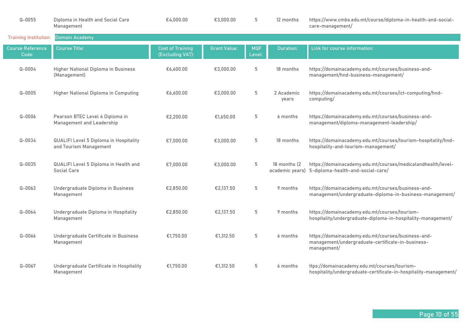| $Q - 0055$                       | Diploma in Health and Social Care<br>Management                         | €4,000.00                                   | €3,000.00           | 5                    | 12 months           | https://www.cmbs.edu.mt/course/diploma-in-health-and-social-<br>care-management/                                       |
|----------------------------------|-------------------------------------------------------------------------|---------------------------------------------|---------------------|----------------------|---------------------|------------------------------------------------------------------------------------------------------------------------|
| <b>Training Institution:</b>     | <b>Domain Academy</b>                                                   |                                             |                     |                      |                     |                                                                                                                        |
| <b>Course Reference</b><br>Code: | <b>Course Title:</b>                                                    | <b>Cost of Training</b><br>(Excluding VAT): | <b>Grant Value:</b> | <b>MQF</b><br>Level: | Duration:           | Link for course information:                                                                                           |
| $Q - 0004$                       | Higher National Diploma in Business<br>(Management)                     | €6,600.00                                   | €3,000.00           | 5                    | 18 months           | https://domainacademy.edu.mt/courses/business-and-<br>management/hnd-business-management/                              |
| $Q - 0005$                       | Higher National Diploma in Computing                                    | €6,600.00                                   | €3,000.00           | 5                    | 2 Academic<br>years | https://domainacademy.edu.mt/courses/ict-computing/hnd-<br>computing/                                                  |
| $Q - 0006$                       | Pearson BTEC Level 4 Diploma in<br>Management and Leadership            | €2,200.00                                   | €1.650.00           | 5                    | 6 months            | https://domainacademy.edu.mt/courses/business-and-<br>management/diploma-management-leadership/                        |
| $Q - 0034$                       | <b>QUALIFI Level 5 Diploma in Hospitality</b><br>and Tourism Management | €7.000.00                                   | €3,000.00           | 5                    | 18 months           | https://domainacademy.edu.mt/courses/tourism-hospitality/hnd-<br>hospitality-and-tourism-management/                   |
| $Q - 0035$                       | QUALIFI Level 5 Diploma in Health and<br><b>Social Care</b>             | €7.000.00                                   | €3,000.00           | 5                    | 18 months (2)       | https://domainacademy.edu.mt/courses/medicalandhealth/level-<br>academic years) 5-diploma-health-and-social-care/      |
| $Q - 0063$                       | Undergraduate Diploma in Business<br>Management                         | €2.850.00                                   | €2,137.50           | 5                    | 9 months            | https://domainacademy.edu.mt/courses/business-and-<br>management/undergraduate-diploma-in-business-management/         |
| $Q - 0064$                       | Undergraduate Diploma in Hospitality<br>Management                      | €2,850.00                                   | €2,137.50           | 5                    | 9 months            | https://domainacademy.edu.mt/courses/tourism-<br>hospitality/undergraduate-diploma-in-hospitality-management/          |
| $Q - 0066$                       | Undergraduate Certificate in Business<br>Management                     | €1,750.00                                   | €1,312.50           | 5                    | 6 months            | https://domainacademy.edu.mt/courses/business-and-<br>management/undergraduate-certificate-in-business-<br>management/ |
| $Q - 0067$                       | Undergraduate Certificate in Hospitality<br>Management                  | €1,750.00                                   | €1,312.50           | 5                    | 6 months            | ttps://domainacademy.edu.mt/courses/tourism-<br>hospitality/undergraduate-certificate-in-hospitality-management/       |

Г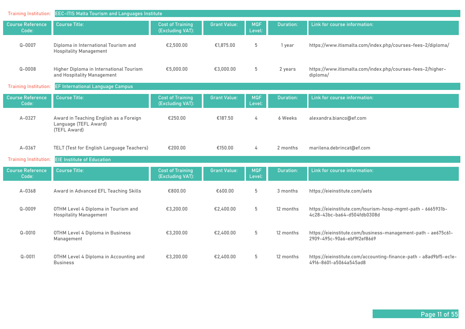| <b>Training Institution:</b>     | <b>EEC-ITIS Malta Tourism and Languages Institute</b>                           |                                             |                     |                      |                  |                                                                                              |  |  |
|----------------------------------|---------------------------------------------------------------------------------|---------------------------------------------|---------------------|----------------------|------------------|----------------------------------------------------------------------------------------------|--|--|
| <b>Course Reference</b><br>Code: | <b>Course Title:</b>                                                            | <b>Cost of Training</b><br>(Excluding VAT): | <b>Grant Value:</b> | <b>MQF</b><br>Level: | Duration:        | Link for course information:                                                                 |  |  |
| $Q - 0007$                       | Diploma in International Tourism and<br><b>Hospitality Management</b>           | €2,500.00                                   | €1,875.00           | $5\,$                | 1 year           | https://www.itismalta.com/index.php/courses-fees-2/diploma/                                  |  |  |
| $Q - 0008$                       | Higher Diploma in International Tourism<br>and Hospitality Management           | €5,000.00                                   | €3,000.00           | 5                    | 2 years          | https://www.itismalta.com/index.php/courses-fees-2/higher-<br>diploma/                       |  |  |
| <b>Training Institution:</b>     | EF International Language Campus                                                |                                             |                     |                      |                  |                                                                                              |  |  |
| <b>Course Reference</b><br>Code: | <b>Course Title:</b>                                                            | <b>Cost of Training</b><br>(Excluding VAT): | <b>Grant Value:</b> | <b>MQF</b><br>Level: | <b>Duration:</b> | Link for course information:                                                                 |  |  |
| A-0327                           | Award in Teaching English as a Foreign<br>Language (TEFL Award)<br>(TEFL Award) | €250.00                                     | €187.50             | 4                    | 6 Weeks          | alexandra.bianco@ef.com                                                                      |  |  |
| A-0367                           | TELT (Test for English Language Teachers)                                       | €200.00                                     | €150.00             | 4                    | 2 months         | marilena.debrincat@ef.com                                                                    |  |  |
| <b>Training Institution:</b>     | <b>EIE Institute of Education</b>                                               |                                             |                     |                      |                  |                                                                                              |  |  |
| <b>Course Reference</b><br>Code: | <b>Course Title:</b>                                                            | <b>Cost of Training</b><br>(Excluding VAT): | <b>Grant Value:</b> | <b>MQF</b><br>Level: | <b>Duration:</b> | Link for course information:                                                                 |  |  |
| A-0368                           | Award in Advanced EFL Teaching Skills                                           | €800.00                                     | €600.00             | 5                    | 3 months         | https://eieinstitute.com/aets                                                                |  |  |
| $Q - 0009$                       | OTHM Level 4 Diploma in Tourism and<br><b>Hospitality Management</b>            | €3,200.00                                   | €2,400.00           | $5\phantom{.0}$      | 12 months        | https://eieinstitute.com/tourism-hosp-mgmt-path - 6665931b-<br>4c28-43bc-ba64-d504fdb0308d   |  |  |
| $Q - 0010$                       | OTHM Level 4 Diploma in Business<br>Management                                  | €3,200.00                                   | €2,400.00           | 5                    | 12 months        | https://eieinstitute.com/business-management-path - ae675c61-<br>2909-495c-90a6-ebf9f2ef8669 |  |  |
| $Q - 0011$                       | OTHM Level 4 Diploma in Accounting and<br><b>Business</b>                       | €3,200.00                                   | €2,400.00           | 5                    | 12 months        | https://eieinstitute.com/accounting-finance-path - a8ad9bf5-ec1e-<br>4916-8601-a5064a545ad8  |  |  |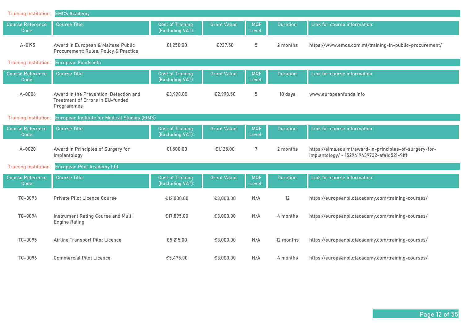| <b>Training Institution:</b>     | <b>EMCS Academy</b>                                                                             |                                             |                     |                      |                  |                                                                                                        |
|----------------------------------|-------------------------------------------------------------------------------------------------|---------------------------------------------|---------------------|----------------------|------------------|--------------------------------------------------------------------------------------------------------|
| <b>Course Reference</b><br>Code: | <b>Course Title:</b>                                                                            | <b>Cost of Training</b><br>(Excluding VAT): | <b>Grant Value:</b> | <b>MQF</b><br>Level: | <b>Duration:</b> | Link for course information:                                                                           |
| A-0195                           | Award in European & Maltese Public<br>Procurement: Rules, Policy & Practice                     | €1,250.00                                   | €937.50             | 5                    | 2 months         | https://www.emcs.com.mt/training-in-public-procurement/                                                |
| <b>Training Institution:</b>     | European Funds.info                                                                             |                                             |                     |                      |                  |                                                                                                        |
| <b>Course Reference</b><br>Code: | <b>Course Title:</b>                                                                            | <b>Cost of Training</b><br>(Excluding VAT): | <b>Grant Value:</b> | <b>MQF</b><br>Level: | Duration:        | Link for course information:                                                                           |
| A-0006                           | Award in the Prevention, Detection and<br><b>Treatment of Errors in EU-funded</b><br>Programmes | €3,998.00                                   | €2.998.50           | 5                    | 10 days          | www.europeanfunds.info                                                                                 |
| <b>Training Institution:</b>     | European Institute for Medical Studies (EIMS)                                                   |                                             |                     |                      |                  |                                                                                                        |
| <b>Course Reference</b><br>Code: | <b>Course Title:</b>                                                                            | <b>Cost of Training</b><br>(Excluding VAT): | <b>Grant Value:</b> | <b>MQF</b><br>Level: | <b>Duration:</b> | Link for course information:                                                                           |
| $A - 0020$                       | Award in Principles of Surgery for<br>Implantology                                              | €1,500.00                                   | €1,125.00           | 7                    | 2 months         | https://eims.edu.mt/award-in-principles-of-surgery-for-<br>implantology/ - 1529419439732-afa1d521-91ff |
| <b>Training Institution:</b>     | <b>European Pilot Academy Ltd</b>                                                               |                                             |                     |                      |                  |                                                                                                        |
| <b>Course Reference</b><br>Code: | <b>Course Title:</b>                                                                            | <b>Cost of Training</b><br>(Excluding VAT): | <b>Grant Value:</b> | <b>MQF</b><br>Level: | <b>Duration:</b> | Link for course information:                                                                           |
| TC-0093                          | Private Pilot Licence Course                                                                    | €12,000.00                                  | €3,000.00           | N/A                  | 12               | https://europeanpilotacademy.com/training-courses/                                                     |
| TC-0094                          | Instrument Rating Course and Multi<br><b>Engine Rating</b>                                      | €17,895.00                                  | €3,000.00           | N/A                  | 4 months         | https://europeanpilotacademy.com/training-courses/                                                     |
| TC-0095                          | Airline Transport Pilot Licence                                                                 | €5,215.00                                   | €3,000.00           | N/A                  | 12 months        | https://europeanpilotacademy.com/training-courses/                                                     |
| TC-0096                          | <b>Commercial Pilot Licence</b>                                                                 | €5,475.00                                   | €3,000.00           | N/A                  | 4 months         | https://europeanpilotacademy.com/training-courses/                                                     |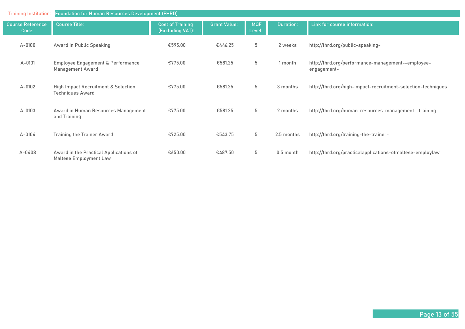| <b>Training Institution:</b>     | <b>Foundation for Human Resources Development (FHRD)</b>         |                                             |                     |                      |            |                                                                  |  |  |  |
|----------------------------------|------------------------------------------------------------------|---------------------------------------------|---------------------|----------------------|------------|------------------------------------------------------------------|--|--|--|
| <b>Course Reference</b><br>Code: | <b>Course Title:</b>                                             | <b>Cost of Training</b><br>(Excluding VAT): | <b>Grant Value:</b> | <b>MQF</b><br>Level: | Duration:  | Link for course information:                                     |  |  |  |
| $A - 0100$                       | Award in Public Speaking                                         | €595.00                                     | €446.25             | 5                    | 2 weeks    | http://fhrd.org/public-speaking-                                 |  |  |  |
| $A - 0101$                       | Employee Engagement & Performance<br><b>Management Award</b>     | €775.00                                     | €581.25             | 5                    | 1 month    | http://fhrd.org/performance-management--employee-<br>engagement- |  |  |  |
| $A-0102$                         | High Impact Recruitment & Selection<br><b>Techniques Award</b>   | €775.00                                     | €581.25             | 5                    | 3 months   | http://fhrd.org/high-impact-recruitment-selection-techniques     |  |  |  |
| $A-0103$                         | Award in Human Resources Management<br>and Training              | €775.00                                     | €581.25             | 5                    | 2 months   | http://fhrd.org/human-resources-management--training             |  |  |  |
| $A - 0104$                       | <b>Training the Trainer Award</b>                                | €725.00                                     | €543.75             | 5                    | 2.5 months | http://fhrd.org/training-the-trainer-                            |  |  |  |
| $A - 0408$                       | Award in the Practical Applications of<br>Maltese Employment Law | €650.00                                     | €487.50             | 5                    | 0.5 month  | http://fhrd.org/practicalapplications-ofmaltese-employlaw        |  |  |  |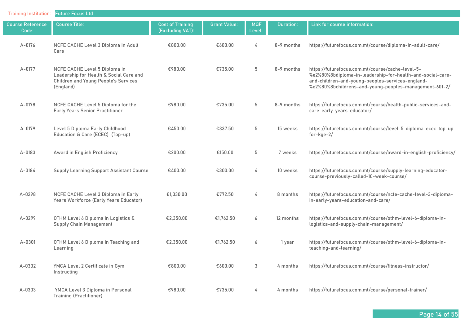| <b>Training Institution:</b>     | <b>Future Focus Ltd</b>                                                                                                              |                                             |                     |                      |            |                                                                                                                                                                                                                              |  |  |  |  |
|----------------------------------|--------------------------------------------------------------------------------------------------------------------------------------|---------------------------------------------|---------------------|----------------------|------------|------------------------------------------------------------------------------------------------------------------------------------------------------------------------------------------------------------------------------|--|--|--|--|
| <b>Course Reference</b><br>Code: | <b>Course Title:</b>                                                                                                                 | <b>Cost of Training</b><br>(Excluding VAT): | <b>Grant Value:</b> | <b>MQF</b><br>Level: | Duration:  | Link for course information:                                                                                                                                                                                                 |  |  |  |  |
| A-0176                           | NCFE CACHE Level 3 Diploma in Adult<br>Care                                                                                          | €800.00                                     | €600.00             | 4                    | 8-9 months | https://futurefocus.com.mt/course/diploma-in-adult-care/                                                                                                                                                                     |  |  |  |  |
| A-0177                           | NCFE CACHE Level 5 Diploma in<br>Leadership for Health & Social Care and<br><b>Children and Young People's Services</b><br>(England) | €980.00                                     | €735.00             | 5                    | 8-9 months | https://futurefocus.com.mt/course/cache-level-5-<br>%e2%80%8bdiploma-in-leadership-for-health-and-social-care-<br>and-children-and-young-peoples-services-england-<br>%e2%80%8bchildrens-and-young-peoples-management-601-2/ |  |  |  |  |
| A-0178                           | NCFE CACHE Level 5 Diploma for the<br><b>Early Years Senior Practitioner</b>                                                         | €980.00                                     | €735.00             | 5                    | 8-9 months | https://futurefocus.com.mt/course/health-public-services-and-<br>care-early-years-educator/                                                                                                                                  |  |  |  |  |
| A-0179                           | Level 5 Diploma Early Childhood<br>Education & Care (ECEC) (Top-up)                                                                  | €450.00                                     | €337.50             | 5                    | 15 weeks   | https://futurefocus.com.mt/course/level-5-diploma-ecec-top-up-<br>$for - kge - 2/$                                                                                                                                           |  |  |  |  |
| A-0183                           | Award in English Proficiency                                                                                                         | €200.00                                     | €150.00             | 5                    | 7 weeks    | https://futurefocus.com.mt/course/award-in-english-proficiency/                                                                                                                                                              |  |  |  |  |
| A-0184                           | <b>Supply Learning Support Assistant Course</b>                                                                                      | €400.00                                     | €300.00             | 4                    | 10 weeks   | https://futurefocus.com.mt/course/supply-learning-educator-<br>course-previously-called-10-week-course/                                                                                                                      |  |  |  |  |
| A-0298                           | NCFE CACHE Level 3 Diploma in Early<br>Years Workforce (Early Years Educator)                                                        | €1,030.00                                   | €772.50             | 4                    | 8 months   | https://futurefocus.com.mt/course/ncfe-cache-level-3-diploma-<br>in-early-years-education-and-care/                                                                                                                          |  |  |  |  |
| $A - 0299$                       | OTHM Level 6 Diploma in Logistics &<br><b>Supply Chain Management</b>                                                                | €2,350.00                                   | €1,762.50           | 6                    | 12 months  | https://futurefocus.com.mt/course/othm-level-6-diploma-in-<br>logistics-and-supply-chain-management/                                                                                                                         |  |  |  |  |
| A-0301                           | OTHM Level 6 Diploma in Teaching and<br>Learning                                                                                     | €2,350.00                                   | €1,762.50           | 6                    | 1 year     | https://futurefocus.com.mt/course/othm-level-6-diploma-in-<br>teaching-and-learning/                                                                                                                                         |  |  |  |  |
| A-0302                           | YMCA Level 2 Certificate in Gym<br>Instructing                                                                                       | €800.00                                     | €600.00             | 3                    | 4 months   | https://futurefocus.com.mt/course/fitness-instructor/                                                                                                                                                                        |  |  |  |  |
| $A - 0303$                       | YMCA Level 3 Diploma in Personal<br>Training (Practitioner)                                                                          | €980.00                                     | €735.00             | 4                    | 4 months   | https://futurefocus.com.mt/course/personal-trainer/                                                                                                                                                                          |  |  |  |  |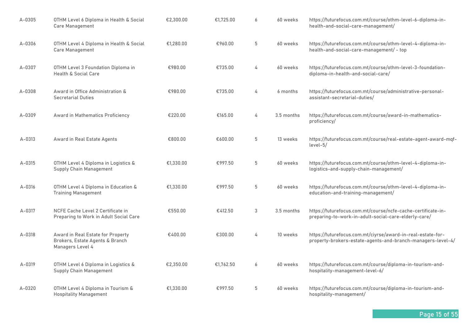| A-0305     | OTHM Level 6 Diploma in Health & Social<br>Care Management                               | €2,300.00 | €1,725.00 | 6     | 60 weeks   | https://futurefocus.com.mt/course/othm-level-6-diploma-in-<br>health-and-social-care-management/                           |
|------------|------------------------------------------------------------------------------------------|-----------|-----------|-------|------------|----------------------------------------------------------------------------------------------------------------------------|
| $A - 0306$ | OTHM Level 4 Diploma in Health & Social<br>Care Management                               | €1.280.00 | €960.00   | 5     | 60 weeks   | https://futurefocus.com.mt/course/othm-level-4-diploma-in-<br>health-and-social-care-management/ - top                     |
| A-0307     | OTHM Level 3 Foundation Diploma in<br>Health & Social Care                               | €980.00   | €735.00   | 4     | 60 weeks   | https://futurefocus.com.mt/course/othm-level-3-foundation-<br>diploma-in-health-and-social-care/                           |
| A-0308     | Award in Office Administration &<br><b>Secretarial Duties</b>                            | €980.00   | €735.00   | 4     | 6 months   | https://futurefocus.com.mt/course/administrative-personal-<br>assistant-secretarial-duties/                                |
| A-0309     | Award in Mathematics Proficiency                                                         | €220.00   | €165.00   | 4     | 3.5 months | https://futurefocus.com.mt/course/award-in-mathematics-<br>proficiency/                                                    |
| $A - 0313$ | Award in Real Estate Agents                                                              | €800.00   | €600.00   | 5     | 13 weeks   | https://futurefocus.com.mt/course/real-estate-agent-award-mqf-<br>level-5/                                                 |
| $A - 0315$ | OTHM Level 4 Diploma in Logistics &<br><b>Supply Chain Management</b>                    | €1,330.00 | €997.50   | $5\,$ | 60 weeks   | https://futurefocus.com.mt/course/othm-level-4-diploma-in-<br>logistics-and-supply-chain-management/                       |
| $A - 0316$ | OTHM Level 4 Diploma in Education &<br><b>Training Management</b>                        | €1,330.00 | €997.50   | 5     | 60 weeks   | https://futurefocus.com.mt/course/othm-level-4-diploma-in-<br>education-and-training-management/                           |
| A-0317     | NCFE Cache Level 2 Certificate in<br>Preparing to Work in Adult Social Care              | €550.00   | €412.50   | 3     | 3.5 months | https://futurefocus.com.mt/course/ncfe-cache-certificate-in-<br>preparing-to-work-in-adult-social-care-elderly-care/       |
| A-0318     | Award in Real Estate for Property<br>Brokers, Estate Agents & Branch<br>Managers Level 4 | €400.00   | €300.00   | 4     | 10 weeks   | https://futurefocus.com.mt/ciyrse/award-in-real-estate-for-<br>property-brokers-estate-agents-and-branch-managers-level-4/ |
| A-0319     | OTHM Level 6 Diploma in Logistics &<br><b>Supply Chain Management</b>                    | €2,350.00 | €1,762.50 | 6     | 60 weeks   | https://futurefocus.com.mt/course/diploma-in-tourism-and-<br>hospitality-management-level-6/                               |
| A-0320     | OTHM Level 4 Diploma in Tourism &<br><b>Hospitality Management</b>                       | €1,330.00 | €997.50   | 5     | 60 weeks   | https://futurefocus.com.mt/course/diploma-in-tourism-and-<br>hospitality-management/                                       |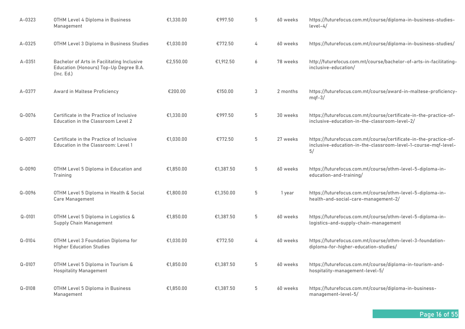| $A - 0323$ | OTHM Level 4 Diploma in Business<br>Management                                                     | €1,330.00 | €997.50   | 5                | 60 weeks | https://futurefocus.com.mt/course/diploma-in-business-studies-<br>$level-4/$                                                              |
|------------|----------------------------------------------------------------------------------------------------|-----------|-----------|------------------|----------|-------------------------------------------------------------------------------------------------------------------------------------------|
| A-0325     | OTHM Level 3 Diploma in Business Studies                                                           | €1,030.00 | €772.50   | 4                | 60 weeks | https://futurefocus.com.mt/course/diploma-in-business-studies/                                                                            |
| $A - 0351$ | Bachelor of Arts in Facilitating Inclusive<br>Education (Honours) Top-Up Degree B.A.<br>(Inc. Ed.) | €2,550.00 | €1,912.50 | $\boldsymbol{6}$ | 78 weeks | http://futurefocus.com.mt/course/bachelor-of-arts-in-facilitating-<br>inclusive-education/                                                |
| A-0377     | <b>Award in Maltese Proficiency</b>                                                                | €200.00   | €150.00   | 3                | 2 months | https://futurefocus.com.mt/course/award-in-maltese-proficiency-<br>$mqf-3/$                                                               |
| $Q - 0076$ | Certificate in the Practice of Inclusive<br>Education in the Classroom Level 2                     | €1,330.00 | €997.50   | 5                | 30 weeks | https://futurefocus.com.mt/course/certificate-in-the-practice-of-<br>inclusive-education-in-the-classroom-level-2/                        |
| $Q - 0077$ | Certificate in the Practice of Inclusive<br>Education in the Classroom: Level 1                    | €1,030.00 | €772.50   | 5                | 27 weeks | https://futurefocus.com.mt/course/certificate-in-the-practice-of-<br>inclusive-education-in-the-classroom-level-1-course-mqf-level-<br>5/ |
| $Q - 0090$ | OTHM Level 5 Diploma in Education and<br>Training                                                  | €1.850.00 | €1.387.50 | 5                | 60 weeks | https://futurefocus.com.mt/course/othm-level-5-diploma-in-<br>education-and-training/                                                     |
| $Q - 0096$ | OTHM Level 5 Diploma in Health & Social<br>Care Management                                         | €1,800.00 | €1,350.00 | 5                | 1 year   | https://futurefocus.com.mt/course/othm-level-5-diploma-in-<br>health-and-social-care-management-2/                                        |
| $Q - 0101$ | OTHM Level 5 Diploma in Logistics &<br><b>Supply Chain Management</b>                              | €1,850.00 | €1,387.50 | 5                | 60 weeks | https://futurefocus.com.mt/course/othm-level-5-diploma-in-<br>logistics-and-supply-chain-management                                       |
| $Q - 0104$ | OTHM Level 3 Foundation Diploma for<br><b>Higher Education Studies</b>                             | €1,030.00 | €772.50   | 4                | 60 weeks | https://futurefocus.com.mt/course/othm-level-3-foundation-<br>diploma-for-higher-education-studies/                                       |
| $Q - 0107$ | OTHM Level 5 Diploma in Tourism &<br><b>Hospitality Management</b>                                 | €1,850.00 | €1.387.50 | 5                | 60 weeks | https://futurefocus.com.mt/course/diploma-in-tourism-and-<br>hospitality-management-level-5/                                              |
| $Q - 0108$ | OTHM Level 5 Diploma in Business<br>Management                                                     | €1,850.00 | €1.387.50 | 5                | 60 weeks | https://futurefocus.com.mt/course/diploma-in-business-<br>management-level-5/                                                             |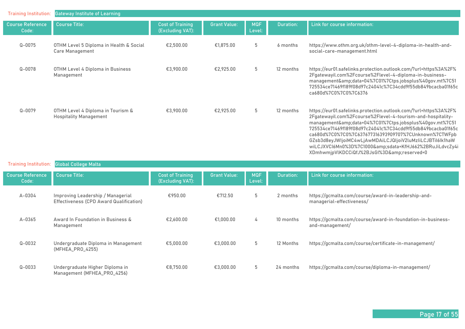| <b>Training Institution:</b>     | <b>Gateway Institute of Learning</b>                               |                                             |                     |                      |                  |                                                                                                                                                                                                                                                                                                                                                                                                                                                                                 |
|----------------------------------|--------------------------------------------------------------------|---------------------------------------------|---------------------|----------------------|------------------|---------------------------------------------------------------------------------------------------------------------------------------------------------------------------------------------------------------------------------------------------------------------------------------------------------------------------------------------------------------------------------------------------------------------------------------------------------------------------------|
| <b>Course Reference</b><br>Code: | <b>Course Title:</b>                                               | <b>Cost of Training</b><br>(Excluding VAT): | <b>Grant Value:</b> | <b>MQF</b><br>Level: | <b>Duration:</b> | Link for course information:                                                                                                                                                                                                                                                                                                                                                                                                                                                    |
| $Q - 0075$                       | OTHM Level 5 Diploma in Health & Social<br><b>Care Management</b>  | €2,500.00                                   | €1,875.00           | 5                    | 6 months         | https://www.othm.org.uk/othm-level-4-diploma-in-health-and-<br>social-care-management.html                                                                                                                                                                                                                                                                                                                                                                                      |
| $Q - 0078$                       | OTHM Level 4 Diploma in Business<br>Management                     | €3,900.00                                   | €2,925.00           | 5                    | 12 months        | https://eur01.safelinks.protection.outlook.com/?url=https%3A%2F%<br>2Fgatewayil.com%2Fcourse%2Flevel-4-diploma-in-business-<br>management&data=04%7C01%7Ctps.jobsplus%40gov.mt%7C51<br>725534ce71469f189f08d97c24041c%7C34cdd9f55db849bcacba01f65c<br>ca680d%7C0%7C0%7C6376                                                                                                                                                                                                     |
| $Q - 0079$                       | OTHM Level 4 Diploma in Tourism &<br><b>Hospitality Management</b> | €3,900.00                                   | €2,925.00           | 5                    | 12 months        | https://eur01.safelinks.protection.outlook.com/?url=https%3A%2F%<br>2Fgatewayil.com%2Fcourse%2Flevel-4-tourism-and-hospitality-<br>management&data=04%7C01%7Ctps.jobsplus%40gov.mt%7C51<br>725534ce71469f189f08d97c24041c%7C34cdd9f55db849bcacba01f65c<br>ca680d%7C0%7C0%7C637677316393909707%7CUnknown%7CTWFpb<br>GZsb3d8eyJWljoiMC4wLjAwMDAiLCJQljoiV2luMzliLCJBTil6lk1haW<br>wiLCJXVCI6Mn0%3D%7C1000&sdata=KfHJ662%2BRuJiLdvcZy4i<br>XDmhwmjpVlKDCCiQfJ%2BJsGI%3D&reserved=0 |

| <b>Training Institution:</b>     | <b>Global College Malta</b>                                                  |                                             |                     |                      |                  |                                                                                  |
|----------------------------------|------------------------------------------------------------------------------|---------------------------------------------|---------------------|----------------------|------------------|----------------------------------------------------------------------------------|
| <b>Course Reference</b><br>Code: | <b>Course Title:</b>                                                         | <b>Cost of Training</b><br>(Excluding VAT): | <b>Grant Value:</b> | <b>MQF</b><br>Level: | <b>Duration:</b> | Link for course information:                                                     |
| A-0304                           | Improving Leadership / Managerial<br>Effectiveness (CPD Award Qualification) | €950.00                                     | €712.50             | 5                    | 2 months         | https://gcmalta.com/course/award-in-leadership-and-<br>managerial-effectiveness/ |
| $A - 0365$                       | Award In Foundation in Business &<br>Management                              | €2,600.00                                   | €1,000.00           | 4                    | 10 months        | https://gcmalta.com/course/award-in-foundation-in-business-<br>and-management/   |
| $Q - 0032$                       | Undergraduate Diploma in Management<br>(MFHEA_PRO_4255)                      | €5,000.00                                   | €3,000,00           | 5                    | 12 Months        | https://gcmalta.com/course/certificate-in-management/                            |
| $Q - 0033$                       | Undergraduate Higher Diploma in<br>Management (MFHEA_PRO_4256)               | €8,750.00                                   | €3,000.00           | 5                    | 24 months        | https://gcmalta.com/course/diploma-in-management/                                |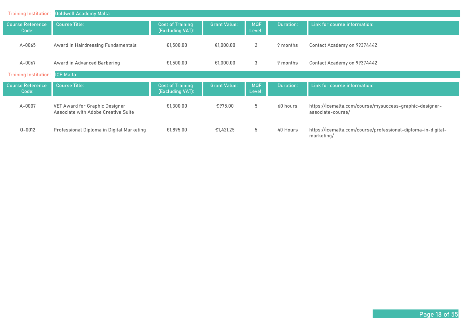| <b>Training Institution:</b>     | <b>Goldwell Academy Malta</b>                                         |                                             |                     |                      |                  |                                                                              |
|----------------------------------|-----------------------------------------------------------------------|---------------------------------------------|---------------------|----------------------|------------------|------------------------------------------------------------------------------|
| <b>Course Reference</b><br>Code: | <b>Course Title:</b>                                                  | <b>Cost of Training</b><br>(Excluding VAT): | <b>Grant Value:</b> | <b>MQF</b><br>Level: | <b>Duration:</b> | Link for course information:                                                 |
| $A - 0065$                       | Award in Hairdressing Fundamentals                                    | €1,500.00                                   | €1,000.00           | 2                    | 9 months         | Contact Academy on 99374442                                                  |
| A-0067                           | Award in Advanced Barbering                                           | €1,500.00                                   | €1,000.00           | 3                    | 9 months         | Contact Academy on 99374442                                                  |
| <b>Training Institution:</b>     | <b>ICE Malta</b>                                                      |                                             |                     |                      |                  |                                                                              |
| <b>Course Reference</b><br>Code: | Course Title:                                                         | <b>Cost of Training</b><br>(Excluding VAT): | <b>Grant Value:</b> | <b>MQF</b><br>Level: | <b>Duration:</b> | Link for course information:                                                 |
| A-0007                           | VET Award for Graphic Designer<br>Associate with Adobe Creative Suite | €1,300.00                                   | €975.00             | 5                    | 60 hours         | https://icemalta.com/course/mysuccess-graphic-designer-<br>associate-course/ |
| $Q - 0012$                       | Professional Diploma in Digital Marketing                             | €1,895.00                                   | €1,421.25           | 5                    | 40 Hours         | https://icemalta.com/course/professional-diploma-in-digital-<br>marketing/   |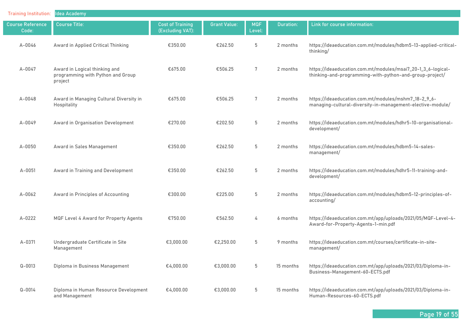| <b>Training Institution:</b>     | <b>Idea Academy</b>                                                           |                                             |                     |                      |           |                                                                                                                         |
|----------------------------------|-------------------------------------------------------------------------------|---------------------------------------------|---------------------|----------------------|-----------|-------------------------------------------------------------------------------------------------------------------------|
| <b>Course Reference</b><br>Code: | <b>Course Title:</b>                                                          | <b>Cost of Training</b><br>(Excluding VAT): | <b>Grant Value:</b> | <b>MQF</b><br>Level: | Duration: | Link for course information:                                                                                            |
| $A - 0046$                       | Award in Applied Critical Thinking                                            | €350.00                                     | €262.50             | 5                    | 2 months  | https://ideaeducation.com.mt/modules/hdbm5-13-applied-critical-<br>thinking/                                            |
| A-0047                           | Award in Logical thinking and<br>programming with Python and Group<br>project | €675.00                                     | €506.25             | 7                    | 2 months  | https://ideaeducation.com.mt/modules/msai7_20-1_3_6-logical-<br>thinking-and-programming-with-python-and-group-project/ |
| $A - 0048$                       | Award in Managing Cultural Diversity in<br>Hospitality                        | €675.00                                     | €506.25             | 7                    | 2 months  | https://ideaeducation.com.mt/modules/mshm7_18-2_9_6-<br>managing-cultural-diversity-in-management-elective-module/      |
| $A - 0049$                       | Award in Organisation Development                                             | €270.00                                     | €202.50             | 5                    | 2 months  | https://ideaeducation.com.mt/modules/hdhr5-10-organisational-<br>development/                                           |
| $A - 0050$                       | Award in Sales Management                                                     | €350.00                                     | €262.50             | 5                    | 2 months  | https://ideaeducation.com.mt/modules/hdbm5-14-sales-<br>management/                                                     |
| A-0051                           | Award in Training and Development                                             | €350.00                                     | €262.50             | $5\,$                | 2 months  | https://ideaeducation.com.mt/modules/hdhr5-11-training-and-<br>development/                                             |
| A-0062                           | Award in Principles of Accounting                                             | €300.00                                     | €225.00             | 5                    | 2 months  | https://ideaeducation.com.mt/modules/hdbm5-12-principles-of-<br>accounting/                                             |
| A-0222                           | MQF Level 4 Award for Property Agents                                         | €750.00                                     | €562.50             | 4                    | 6 months  | https://ideaeducation.com.mt/app/uploads/2021/05/MQF-Level-4-<br>Award-for-Property-Agents-1-min.pdf                    |
| A-0371                           | Undergraduate Certificate in Site<br>Management                               | €3,000.00                                   | €2,250.00           | 5                    | 9 months  | https://ideaeducation.com.mt/courses/certificate-in-site-<br>management/                                                |
| $Q - 0013$                       | Diploma in Business Management                                                | €4,000.00                                   | €3,000.00           | 5                    | 15 months | https://ideaeducation.com.mt/app/uploads/2021/03/Diploma-in-<br>Business-Management-60-ECTS.pdf                         |
| $Q - 0014$                       | Diploma in Human Resource Development<br>and Management                       | €4,000.00                                   | €3,000.00           | 5                    | 15 months | https://ideaeducation.com.mt/app/uploads/2021/03/Diploma-in-<br>Human-Resources-60-ECTS.pdf                             |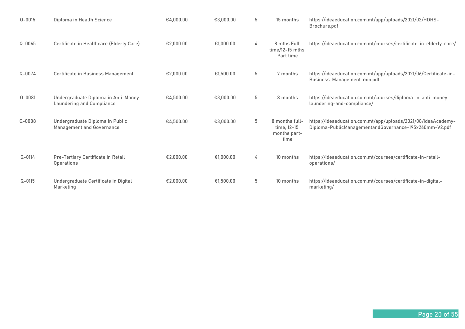| $Q - 0015$ | Diploma in Health Science                                        | €4.000.00 | €3,000,00 | 5 | 15 months                                             | https://ideaeducation.com.mt/app/uploads/2021/02/HDHS-<br>Brochure.pdf                                                  |
|------------|------------------------------------------------------------------|-----------|-----------|---|-------------------------------------------------------|-------------------------------------------------------------------------------------------------------------------------|
| $Q - 0065$ | Certificate in Healthcare (Elderly Care)                         | €2.000.00 | €1.000.00 | 4 | 8 mths Full<br>$time/12-15$ mths<br>Part time         | https://ideaeducation.com.mt/courses/certificate-in-elderly-care/                                                       |
| $Q - 0074$ | Certificate in Business Management                               | €2.000.00 | €1.500.00 | 5 | 7 months                                              | https://ideaeducation.com.mt/app/uploads/2021/06/Certificate-in-<br>Business-Management-min.pdf                         |
| $Q - 0081$ | Undergraduate Diploma in Anti-Money<br>Laundering and Compliance | €4.500.00 | €3,000.00 | 5 | 8 months                                              | https://ideaeducation.com.mt/courses/diploma-in-anti-money-<br>laundering-and-compliance/                               |
| $Q - 0088$ | Undergraduate Diploma in Public<br>Management and Governance     | €4,500.00 | €3,000.00 | 5 | 8 months full-<br>time, 12-15<br>months part-<br>time | https://ideaeducation.com.mt/app/uploads/2021/08/IdeaAcademy-<br>Diploma-PublicManagementandGovernance-195x260mm-V2.pdf |
| $Q - 0114$ | Pre-Tertiary Certificate in Retail<br><b>Operations</b>          | €2,000.00 | €1,000.00 | 4 | 10 months                                             | https://ideaeducation.com.mt/courses/certificate-in-retail-<br>operations/                                              |
| $Q - 0115$ | Undergraduate Certificate in Digital<br>Marketing                | €2,000.00 | €1,500.00 | 5 | 10 months                                             | https://ideaeducation.com.mt/courses/certificate-in-digital-<br>marketing/                                              |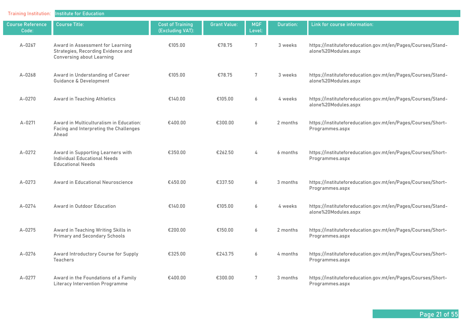| <b>Training Institution:</b>     | <b>Institute for Education</b>                                                                             |                                             |                     |                      |                  |                                                                                      |
|----------------------------------|------------------------------------------------------------------------------------------------------------|---------------------------------------------|---------------------|----------------------|------------------|--------------------------------------------------------------------------------------|
| <b>Course Reference</b><br>Code: | <b>Course Title:</b>                                                                                       | <b>Cost of Training</b><br>(Excluding VAT): | <b>Grant Value:</b> | <b>MQF</b><br>Level: | <b>Duration:</b> | Link for course information:                                                         |
| $A - 0267$                       | Award in Assessment for Learning<br>Strategies, Recording Evidence and<br><b>Conversing about Learning</b> | €105.00                                     | €78.75              | $7\phantom{.0}$      | 3 weeks          | https://instituteforeducation.gov.mt/en/Pages/Courses/Stand-<br>alone%20Modules.aspx |
| $A - 0268$                       | Award in Understanding of Career<br><b>Guidance &amp; Development</b>                                      | €105.00                                     | €78.75              | $7\phantom{.}$       | 3 weeks          | https://instituteforeducation.gov.mt/en/Pages/Courses/Stand-<br>alone%20Modules.aspx |
| A-0270                           | Award in Teaching Athletics                                                                                | €140.00                                     | €105.00             | 6                    | 4 weeks          | https://instituteforeducation.gov.mt/en/Pages/Courses/Stand-<br>alone%20Modules.aspx |
| $A - 0271$                       | Award in Multiculturalism in Education:<br>Facing and Interpreting the Challenges<br>Ahead                 | €400.00                                     | €300.00             | 6                    | 2 months         | https://instituteforeducation.gov.mt/en/Pages/Courses/Short-<br>Programmes.aspx      |
| $A - 0272$                       | Award in Supporting Learners with<br><b>Individual Educational Needs</b><br><b>Educational Needs</b>       | €350.00                                     | €262.50             | 4                    | 6 months         | https://instituteforeducation.gov.mt/en/Pages/Courses/Short-<br>Programmes.aspx      |
| A-0273                           | Award in Educational Neuroscience                                                                          | €450.00                                     | €337.50             | 6                    | 3 months         | https://instituteforeducation.gov.mt/en/Pages/Courses/Short-<br>Programmes.aspx      |
| $A - 0274$                       | Award in Outdoor Education                                                                                 | €140.00                                     | €105.00             | 6                    | 4 weeks          | https://instituteforeducation.gov.mt/en/Pages/Courses/Stand-<br>alone%20Modules.aspx |
| $A - 0275$                       | Award in Teaching Writing Skills in<br><b>Primary and Secondary Schools</b>                                | €200.00                                     | €150.00             | 6                    | 2 months         | https://instituteforeducation.gov.mt/en/Pages/Courses/Short-<br>Programmes.aspx      |
| $A - 0276$                       | Award Introductory Course for Supply<br><b>Teachers</b>                                                    | €325.00                                     | €243.75             | 6                    | 4 months         | https://instituteforeducation.gov.mt/en/Pages/Courses/Short-<br>Programmes.aspx      |
| $A - 0277$                       | Award in the Foundations of a Family<br><b>Literacy Intervention Programme</b>                             | €400.00                                     | €300.00             | $7\phantom{.0}$      | 3 months         | https://instituteforeducation.gov.mt/en/Pages/Courses/Short-<br>Programmes.aspx      |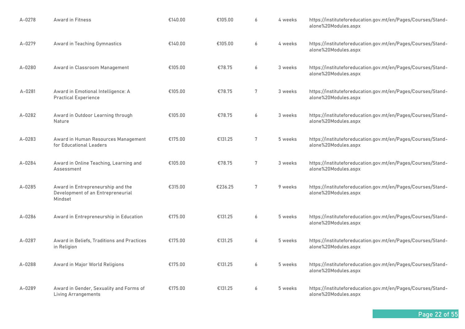| $A - 0278$ | <b>Award in Fitness</b>                                                           | €140.00 | €105.00 | 6 | 4 weeks | https://instituteforeducation.gov.mt/en/Pages/Courses/Stand-<br>alone%20Modules.aspx |
|------------|-----------------------------------------------------------------------------------|---------|---------|---|---------|--------------------------------------------------------------------------------------|
| A-0279     | Award in Teaching Gymnastics                                                      | €140.00 | €105.00 | 6 | 4 weeks | https://instituteforeducation.gov.mt/en/Pages/Courses/Stand-<br>alone%20Modules.aspx |
| A-0280     | Award in Classroom Management                                                     | €105.00 | €78.75  | 6 | 3 weeks | https://instituteforeducation.gov.mt/en/Pages/Courses/Stand-<br>alone%20Modules.aspx |
| A-0281     | Award in Emotional Intelligence: A<br><b>Practical Experience</b>                 | €105.00 | €78.75  | 7 | 3 weeks | https://instituteforeducation.gov.mt/en/Pages/Courses/Stand-<br>alone%20Modules.aspx |
| $A - 0282$ | Award in Outdoor Learning through<br>Nature                                       | €105.00 | €78.75  | 6 | 3 weeks | https://instituteforeducation.gov.mt/en/Pages/Courses/Stand-<br>alone%20Modules.aspx |
| A-0283     | Award in Human Resources Management<br>for Educational Leaders                    | €175.00 | €131.25 | 7 | 5 weeks | https://instituteforeducation.gov.mt/en/Pages/Courses/Stand-<br>alone%20Modules.aspx |
| A-0284     | Award in Online Teaching, Learning and<br>Assessment                              | €105.00 | €78.75  | 7 | 3 weeks | https://instituteforeducation.gov.mt/en/Pages/Courses/Stand-<br>alone%20Modules.aspx |
| A-0285     | Award in Entrepreneurship and the<br>Development of an Entrepreneurial<br>Mindset | €315.00 | €236.25 | 7 | 9 weeks | https://instituteforeducation.gov.mt/en/Pages/Courses/Stand-<br>alone%20Modules.aspx |
| A-0286     | Award in Entrepreneurship in Education                                            | €175.00 | €131.25 | 6 | 5 weeks | https://instituteforeducation.gov.mt/en/Pages/Courses/Stand-<br>alone%20Modules.aspx |
| A-0287     | Award in Beliefs, Traditions and Practices<br>in Religion                         | €175.00 | €131.25 | 6 | 5 weeks | https://instituteforeducation.gov.mt/en/Pages/Courses/Stand-<br>alone%20Modules.aspx |
| $A - 0288$ | Award in Major World Religions                                                    | €175.00 | €131.25 | 6 | 5 weeks | https://instituteforeducation.gov.mt/en/Pages/Courses/Stand-<br>alone%20Modules.aspx |
| A-0289     | Award in Gender, Sexuality and Forms of<br><b>Living Arrangements</b>             | €175.00 | €131.25 | 6 | 5 weeks | https://instituteforeducation.gov.mt/en/Pages/Courses/Stand-<br>alone%20Modules.aspx |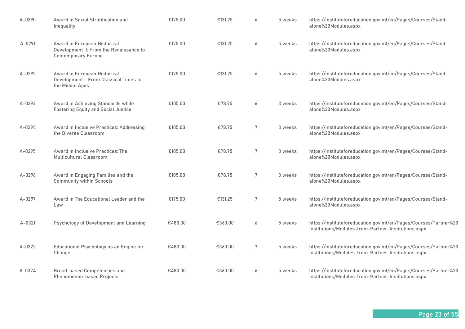| A-0290     | Award in Social Stratification and<br>Inequality                                                      | €175.00 | €131.25 | 6 | 5 weeks | https://instituteforeducation.gov.mt/en/Pages/Courses/Stand-<br>alone%20Modules.aspx                                    |
|------------|-------------------------------------------------------------------------------------------------------|---------|---------|---|---------|-------------------------------------------------------------------------------------------------------------------------|
| $A - 0291$ | Award in European Historical<br>Development II: From the Renaissance to<br><b>Contemporary Europe</b> | €175.00 | €131.25 | 6 | 5 weeks | https://instituteforeducation.gov.mt/en/Pages/Courses/Stand-<br>alone%20Modules.aspx                                    |
| A-0292     | Award in European Historical<br>Development I: From Classical Times to<br>the Middle Ages             | €175.00 | €131.25 | 6 | 5 weeks | https://instituteforeducation.gov.mt/en/Pages/Courses/Stand-<br>alone%20Modules.aspx                                    |
| A-0293     | Award in Achieving Standards while<br><b>Fostering Equity and Social Justice</b>                      | €105.00 | €78.75  | 6 | 3 weeks | https://instituteforeducation.gov.mt/en/Pages/Courses/Stand-<br>alone%20Modules.aspx                                    |
| A-0294     | Award in Inclusive Practices: Addressing<br>the Diverse Classroom                                     | €105.00 | €78.75  | 7 | 3 weeks | https://instituteforeducation.gov.mt/en/Pages/Courses/Stand-<br>alone%20Modules.aspx                                    |
| A-0295     | Award in Inclusive Practices: The<br>Multicultural Classroom                                          | €105.00 | €78.75  | 7 | 3 weeks | https://instituteforeducation.gov.mt/en/Pages/Courses/Stand-<br>alone%20Modules.aspx                                    |
| A-0296     | Award in Engaging Families and the<br><b>Community within Schools</b>                                 | €105.00 | €78.75  | 7 | 3 weeks | https://instituteforeducation.gov.mt/en/Pages/Courses/Stand-<br>alone%20Modules.aspx                                    |
| A-0297     | Award in The Educational Leader and the<br>Law                                                        | €175.00 | €131.25 | 7 | 5 weeks | https://instituteforeducation.gov.mt/en/Pages/Courses/Stand-<br>alone%20Modules.aspx                                    |
| A-0321     | Psychology of Development and Learning                                                                | €480.00 | €360.00 | 6 | 5 weeks | https://instituteforeducation.gov.mt/en/Pages/Courses/Partner%20<br>Institutions/Modules-from-Partner-Institutions.aspx |
| A-0322     | Educational Psychology as an Engine for<br>Change                                                     | €480.00 | €360.00 | 7 | 5 weeks | https://instituteforeducation.gov.mt/en/Pages/Courses/Partner%20<br>Institutions/Modules-from-Partner-Institutions.aspx |
| A-0324     | <b>Broad-based Competencies and</b><br>Phenomenon-based Projects                                      | €480.00 | €360.00 | 6 | 5 weeks | https://instituteforeducation.gov.mt/en/Pages/Courses/Partner%20<br>Institutions/Modules-from-Partner-Institutions.aspx |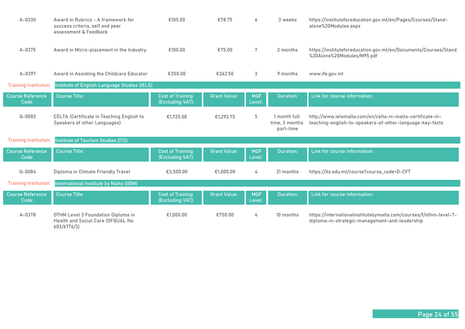| $A - 0330$                       | Award in Rubrics - A framework for<br>success criteria, self and peer<br>assessment & Feedback | €105.00                                     | €78.75              | 6                    | 3 weeks                                     | https://instituteforeducation.gov.mt/en/Pages/Courses/Stand-<br>alone%20Modules.aspx                                   |
|----------------------------------|------------------------------------------------------------------------------------------------|---------------------------------------------|---------------------|----------------------|---------------------------------------------|------------------------------------------------------------------------------------------------------------------------|
| A-0375                           | Award in Micro-placement in the Industry                                                       | €100.00                                     | €75.00              | 7                    | 2 months                                    | https://instituteforeducation.gov.mt/en/Documents/Courses/Stand<br>%20Alone%20Modules/M95.pdf                          |
| A-0397                           | Award in Assisting the Childcare Educator                                                      | €350.00                                     | €262.50             | 3                    | 9 months                                    | www.ife.gov.mt                                                                                                         |
| <b>Training Institution:</b>     | Institute of English Language Studies (IELS)                                                   |                                             |                     |                      |                                             |                                                                                                                        |
| <b>Course Reference</b><br>Code: | <b>Course Title:</b>                                                                           | <b>Cost of Training</b><br>(Excluding VAT): | <b>Grant Value:</b> | <b>MQF</b><br>Level: | <b>Duration:</b>                            | Link for course information:                                                                                           |
| $Q - 0082$                       | <b>CELTA (Certificate in Teaching English to</b><br>Speakers of other Languages)               | €1,725.00                                   | €1,293.75           | 5                    | 1 month full<br>time, 3 months<br>part-time | http://www.ielsmalta.com/en/celta-in-malta-certificate-in-<br>teaching-english-to-speakers-of-other-language-key-facts |
| <b>Training Institution:</b>     | Institute of Tourism Studies (ITS)                                                             |                                             |                     |                      |                                             |                                                                                                                        |
| <b>Course Reference</b><br>Code: | <b>Course Title:</b>                                                                           | <b>Cost of Training</b><br>(Excluding VAT): | <b>Grant Value:</b> | <b>MQF</b><br>Level: | <b>Duration:</b>                            | Link for course information:                                                                                           |
| $Q - 0084$                       | Diploma in Climate Friendly Travel                                                             | €3,500.00                                   | €1.000.00           | 4                    | 21 months                                   | https://its.edu.mt/course?course_code=D-CFT                                                                            |
| <b>Training Institution:</b>     | International Institute by Malta (IIBM)                                                        |                                             |                     |                      |                                             |                                                                                                                        |
| <b>Course Reference</b><br>Code: | <b>Course Title:</b>                                                                           | <b>Cost of Training</b><br>(Excluding VAT): | <b>Grant Value:</b> | <b>MQF</b><br>Level: | <b>Duration:</b>                            | Link for course information:                                                                                           |
| A-0378                           | OTHM Level 3 Foundation Diploma in<br>Health and Social Care (OFQUAL No.<br>603/6776/3)        | €1,000.00                                   | €750.00             | 4                    | 10 months                                   | https://internationalinstitutebymalta.com/courses/f/othm-level-7-<br>diploma-in-strategic-management-and-leadership    |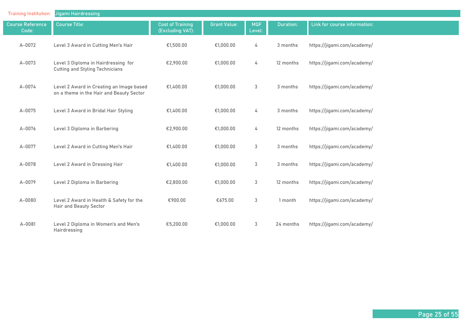| <b>Training Institution:</b>     | Jigami Hairdressing                                                                  |                                             |                     |                      |                  |                              |
|----------------------------------|--------------------------------------------------------------------------------------|---------------------------------------------|---------------------|----------------------|------------------|------------------------------|
| <b>Course Reference</b><br>Code: | <b>Course Title:</b>                                                                 | <b>Cost of Training</b><br>(Excluding VAT): | <b>Grant Value:</b> | <b>MQF</b><br>Level: | <b>Duration:</b> | Link for course information: |
| A-0072                           | Level 3 Award in Cutting Men's Hair                                                  | €1,500.00                                   | €1,000.00           | 4                    | 3 months         | https://jigami.com/academy/  |
| A-0073                           | Level 3 Diploma in Hairdressing for<br><b>Cutting and Styling Technicians</b>        | €2,900.00                                   | €1,000.00           | 4                    | 12 months        | https://jigami.com/academy/  |
| A-0074                           | Level 2 Award in Creating an Image based<br>on a theme in the Hair and Beauty Sector | €1,400.00                                   | €1,000.00           | 3                    | 3 months         | https://jigami.com/academy/  |
| A-0075                           | Level 3 Award in Bridal Hair Styling                                                 | €1,400.00                                   | €1,000.00           | 4                    | 3 months         | https://jigami.com/academy/  |
| A-0076                           | Level 3 Diploma in Barbering                                                         | €2,900.00                                   | €1,000.00           | 4                    | 12 months        | https://jigami.com/academy/  |
| A-0077                           | Level 2 Award in Cutting Men's Hair                                                  | €1,400.00                                   | €1,000.00           | $\mathbf{3}$         | 3 months         | https://jigami.com/academy/  |
| A-0078                           | Level 2 Award in Dressing Hair                                                       | €1,400.00                                   | €1,000.00           | $\mathbf{3}$         | 3 months         | https://jigami.com/academy/  |
| A-0079                           | Level 2 Diploma in Barbering                                                         | €2,800.00                                   | €1,000.00           | 3                    | 12 months        | https://jigami.com/academy/  |
| A-0080                           | Level 2 Award in Health & Safety for the<br><b>Hair and Beauty Sector</b>            | €900.00                                     | €675.00             | $\mathbf{3}$         | 1 month          | https://jigami.com/academy/  |
| A-0081                           | Level 2 Diploma in Women's and Men's<br>Hairdressing                                 | €5,200.00                                   | €1,000.00           | 3                    | 24 months        | https://jigami.com/academy/  |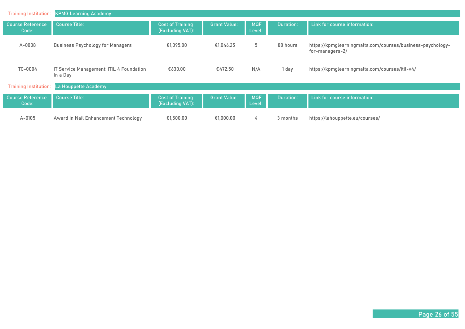| <b>Training Institution:</b>     | <b>KPMG Learning Academy</b>                         |                                             |                     |                      |           |                                                                               |
|----------------------------------|------------------------------------------------------|---------------------------------------------|---------------------|----------------------|-----------|-------------------------------------------------------------------------------|
| <b>Course Reference</b><br>Code: | <b>Course Title:</b>                                 | <b>Cost of Training</b><br>(Excluding VAT): | <b>Grant Value:</b> | <b>MQF</b><br>Level: | Duration: | Link for course information:                                                  |
| A-0008                           | <b>Business Psychology for Managers</b>              | €1.395.00                                   | €1.046.25           | 5                    | 80 hours  | https://kpmglearningmalta.com/courses/business-psychology-<br>for-managers-2/ |
| TC-0004                          | IT Service Management: ITIL 4 Foundation<br>In a Day | €630.00                                     | €472.50             | N/A                  | 1 day     | https://kpmglearningmalta.com/courses/itil-v4/                                |
| <b>Training Institution:</b>     | La Houppette Academy                                 |                                             |                     |                      |           |                                                                               |
| <b>Course Reference</b><br>Code: | <b>Course Title:</b>                                 | <b>Cost of Training</b><br>(Excluding VAT): | <b>Grant Value:</b> | <b>MQF</b><br>Level: | Duration: | Link for course information:                                                  |
| $A - 0105$                       | Award in Nail Enhancement Technology                 | €1,500.00                                   | €1,000,00           | 4                    | 3 months  | https://lahouppette.eu/courses/                                               |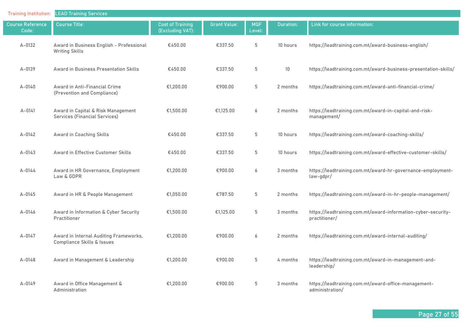| <b>Training Institution:</b>     | <b>LEAD Training Services</b>                                        |                                             |                     |                      |                  |                                                                                |
|----------------------------------|----------------------------------------------------------------------|---------------------------------------------|---------------------|----------------------|------------------|--------------------------------------------------------------------------------|
| <b>Course Reference</b><br>Code: | <b>Course Title:</b>                                                 | <b>Cost of Training</b><br>(Excluding VAT): | <b>Grant Value:</b> | <b>MQF</b><br>Level: | <b>Duration:</b> | Link for course information:                                                   |
| $A-0132$                         | Award in Business English - Professional<br><b>Writing Skills</b>    | €450.00                                     | €337.50             | 5                    | 10 hours         | https://leadtraining.com.mt/award-business-english/                            |
| A-0139                           | Award in Business Presentation Skills                                | €450.00                                     | €337.50             | $5\phantom{.0}$      | 10               | https://leadtraining.com.mt/award-business-presentation-skills/                |
| $A - 0140$                       | Award in Anti-Financial Crime<br>(Prevention and Compliance)         | €1,200.00                                   | €900.00             | $5\phantom{.0}$      | 2 months         | https://leadtraining.com.mt/award-anti-financial-crime/                        |
| $A - 0141$                       | Award in Capital & Risk Management<br>Services (Financial Services)  | €1,500.00                                   | €1,125.00           | 6                    | 2 months         | https://leadtraining.com.mt/award-in-capital-and-risk-<br>management/          |
| $A - 0142$                       | Award in Coaching Skills                                             | €450.00                                     | €337.50             | 5                    | 10 hours         | https://leadtraining.com.mt/award-coaching-skills/                             |
| $A - 0143$                       | Award in Effective Customer Skills                                   | €450.00                                     | €337.50             | 5                    | 10 hours         | https://leadtraining.com.mt/award-effective-customer-skills/                   |
| $A - 0144$                       | Award in HR Governance, Employment<br>Law & GDPR                     | €1,200.00                                   | €900.00             | 6                    | 3 months         | https://leadtraining.com.mt/award-hr-governance-employment-<br>law-gdpr/       |
| $A - 0145$                       | Award in HR & People Management                                      | €1,050.00                                   | €787.50             | $5\phantom{.0}$      | 2 months         | https://leadtraining.com.mt/award-in-hr-people-management/                     |
| $A - 0146$                       | Award in Information & Cyber Security<br>Practitioner                | €1,500.00                                   | €1,125.00           | $5\,$                | 3 months         | https://leadtraining.com.mt/award-information-cyber-security-<br>practitioner/ |
| $A - 0147$                       | Award in Internal Auditing Frameworks,<br>Compliance Skills & Issues | €1,200.00                                   | €900.00             | 6                    | 2 months         | https://leadtraining.com.mt/award-internal-auditing/                           |
| $A - 0148$                       | Award in Management & Leadership                                     | €1,200.00                                   | €900.00             | 5                    | 4 months         | https://leadtraining.com.mt/award-in-management-and-<br>leadership/            |
| A-0149                           | Award in Office Management &<br>Administration                       | €1,200.00                                   | €900.00             | $5\phantom{.0}$      | 3 months         | https://leadtraining.com.mt/award-office-management-<br>administration/        |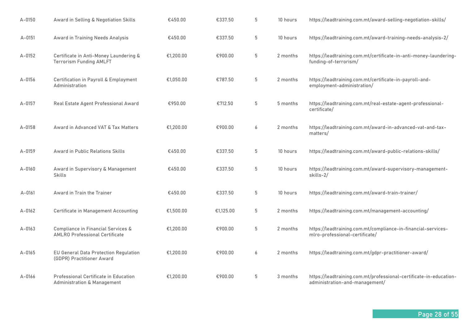| $A - 0150$ | Award in Selling & Negotiation Skills                                                  | €450.00   | €337.50   | 5     | 10 hours | https://leadtraining.com.mt/award-selling-negotiation-skills/                                        |
|------------|----------------------------------------------------------------------------------------|-----------|-----------|-------|----------|------------------------------------------------------------------------------------------------------|
| $A - 0151$ | Award in Training Needs Analysis                                                       | €450.00   | €337.50   | 5     | 10 hours | https://leadtraining.com.mt/award-training-needs-analysis-2/                                         |
| $A - 0152$ | Certificate in Anti-Money Laundering &<br><b>Terrorism Funding AMLFT</b>               | €1,200.00 | €900.00   | 5     | 2 months | https://leadtraining.com.mt/certificate-in-anti-money-laundering-<br>funding-of-terrorism/           |
| A-0156     | Certification in Payroll & Employment<br>Administration                                | €1,050.00 | €787.50   | 5     | 2 months | https://leadtraining.com.mt/certificate-in-payroll-and-<br>employment-administration/                |
| $A - 0157$ | Real Estate Agent Professional Award                                                   | €950.00   | €712.50   | 5     | 5 months | https://leadtraining.com.mt/real-estate-agent-professional-<br>certificate/                          |
| A-0158     | Award in Advanced VAT & Tax Matters                                                    | €1,200.00 | €900.00   | 6     | 2 months | https://leadtraining.com.mt/award-in-advanced-vat-and-tax-<br>matters/                               |
| A-0159     | <b>Award in Public Relations Skills</b>                                                | €450.00   | €337.50   | 5     | 10 hours | https://leadtraining.com.mt/award-public-relations-skills/                                           |
| $A - 0160$ | Award in Supervisory & Management<br><b>Skills</b>                                     | €450.00   | €337.50   | $5\,$ | 10 hours | https://leadtraining.com.mt/award-supervisory-management-<br>skills-2/                               |
| A-0161     | Award in Train the Trainer                                                             | €450.00   | €337.50   | 5     | 10 hours | https://leadtraining.com.mt/award-train-trainer/                                                     |
| $A - 0162$ | <b>Certificate in Management Accounting</b>                                            | €1,500.00 | €1,125.00 | 5     | 2 months | https://leadtraining.com.mt/management-accounting/                                                   |
| A-0163     | Compliance in Financial Services &<br><b>AMLRO Professional Certificate</b>            | €1,200.00 | €900.00   | 5     | 2 months | https://leadtraining.com.mt/compliance-in-financial-services-<br>mlro-professional-certificate/      |
| $A - 0165$ | EU General Data Protection Regulation<br>(GDPR) Practitioner Award                     | €1,200.00 | €900.00   | 6     | 2 months | https://leadtraining.com.mt/gdpr-practitioner-award/                                                 |
| A-0166     | <b>Professional Certificate in Education</b><br><b>Administration &amp; Management</b> | €1,200.00 | €900.00   | 5     | 3 months | https://leadtraining.com.mt/professional-certificate-in-education-<br>administration-and-management/ |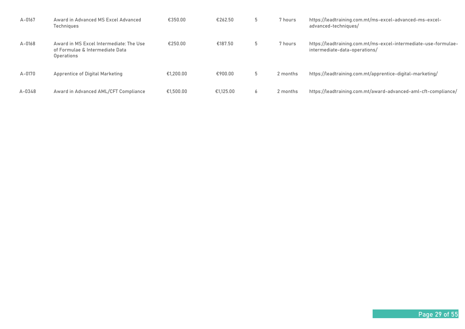| A-0167 | Award in Advanced MS Excel Advanced<br><b>Techniques</b>                                 | €350.00   | €262.50   | b  | 7 hours  | https://leadtraining.com.mt/ms-excel-advanced-ms-excel-<br>advanced-techniques/                  |
|--------|------------------------------------------------------------------------------------------|-----------|-----------|----|----------|--------------------------------------------------------------------------------------------------|
| A-0168 | Award in MS Excel Intermediate: The Use<br>of Formulae & Intermediate Data<br>Operations | €250.00   | €187.50   | b  | 7 hours  | https://leadtraining.com.mt/ms-excel-intermediate-use-formulae-<br>intermediate-data-operations/ |
| A-0170 | Apprentice of Digital Marketing                                                          | €1.200.00 | €900.00   | b. | 2 months | https://leadtraining.com.mt/apprentice-digital-marketing/                                        |
| A-0348 | Award in Advanced AML/CFT Compliance                                                     | €1,500,00 | €1.125.00 | 6  | 2 months | https://leadtraining.com.mt/award-advanced-aml-cft-compliance/                                   |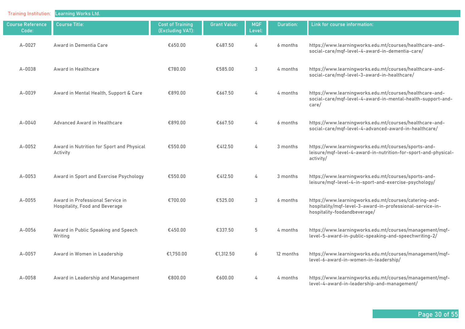| <b>Training Institution:</b>     | <b>Learning Works Ltd.</b>                                         |                                             |                     |                      |           |                                                                                                                                                     |
|----------------------------------|--------------------------------------------------------------------|---------------------------------------------|---------------------|----------------------|-----------|-----------------------------------------------------------------------------------------------------------------------------------------------------|
| <b>Course Reference</b><br>Code: | <b>Course Title:</b>                                               | <b>Cost of Training</b><br>(Excluding VAT): | <b>Grant Value:</b> | <b>MQF</b><br>Level: | Duration: | Link for course information:                                                                                                                        |
| A-0027                           | Award in Dementia Care                                             | €650.00                                     | €487.50             | 4                    | 6 months  | https://www.learningworks.edu.mt/courses/healthcare-and-<br>social-care/mqf-level-4-award-in-dementia-care/                                         |
| $A - 0038$                       | Award in Healthcare                                                | €780.00                                     | €585.00             | 3                    | 4 months  | https://www.learningworks.edu.mt/courses/healthcare-and-<br>social-care/mqf-level-3-award-in-healthcare/                                            |
| $A - 0039$                       | Award in Mental Health, Support & Care                             | €890.00                                     | €667.50             | 4                    | 4 months  | https://www.learningworks.edu.mt/courses/healthcare-and-<br>social-care/mqf-level-4-award-in-mental-health-support-and-<br>care/                    |
| $A - 0040$                       | Advanced Award in Healthcare                                       | €890.00                                     | €667.50             | 4                    | 6 months  | https://www.learningworks.edu.mt/courses/healthcare-and-<br>social-care/mqf-level-4-advanced-award-in-healthcare/                                   |
| $A - 0052$                       | Award in Nutrition for Sport and Physical<br>Activity              | €550.00                                     | €412.50             | 4                    | 3 months  | https://www.learningworks.edu.mt/courses/sports-and-<br>leisure/mqf-level-4-award-in-nutrition-for-sport-and-physical-<br>activity/                 |
| $A - 0053$                       | Award in Sport and Exercise Psychology                             | €550.00                                     | €412.50             | 4                    | 3 months  | https://www.learningworks.edu.mt/courses/sports-and-<br>leisure/mqf-level-4-in-sport-and-exercise-psychology/                                       |
| A-0055                           | Award in Professional Service in<br>Hospitality, Food and Beverage | €700.00                                     | €525.00             | 3                    | 6 months  | https://www.learningworks.edu.mt/courses/catering-and-<br>hospitality/mqf-level-3-award-in-professional-service-in-<br>hospitality-foodandbeverage/ |
| A-0056                           | Award in Public Speaking and Speech<br>Writing                     | €450.00                                     | €337.50             | 5                    | 4 months  | https://www.learningworks.edu.mt/courses/management/mqf-<br>level-5-award-in-public-speaking-and-speechwriting-2/                                   |
| A-0057                           | Award in Women in Leadership                                       | €1,750.00                                   | €1,312.50           | 6                    | 12 months | https://www.learningworks.edu.mt/courses/management/mqf-<br>level-6-award-in-women-in-leadership/                                                   |
| A-0058                           | Award in Leadership and Management                                 | €800.00                                     | €600.00             | 4                    | 4 months  | https://www.learningworks.edu.mt/courses/management/mqf-<br>level-4-award-in-leadership-and-management/                                             |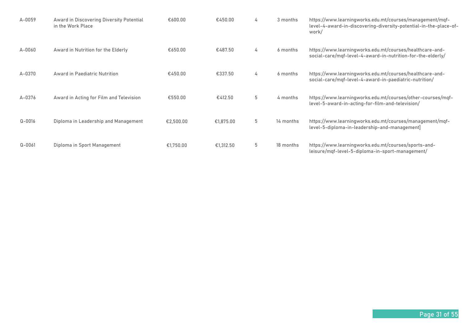| A-0059     | Award in Discovering Diversity Potential<br>in the Work Place | €600.00   | €450.00   | 4 | 3 months  | https://www.learningworks.edu.mt/courses/management/mgf-<br>level-4-award-in-discovering-diversity-potential-in-the-place-of-<br>work/ |
|------------|---------------------------------------------------------------|-----------|-----------|---|-----------|----------------------------------------------------------------------------------------------------------------------------------------|
| $A-0060$   | Award in Nutrition for the Elderly                            | €650.00   | €487.50   | 4 | 6 months  | https://www.learningworks.edu.mt/courses/healthcare-and-<br>social-care/mgf-level-4-award-in-nutrition-for-the-elderly/                |
| A-0370     | Award in Paediatric Nutrition                                 | €450.00   | €337.50   | 4 | 6 months  | https://www.learningworks.edu.mt/courses/healthcare-and-<br>social-care/mgf-level-4-award-in-paediatric-nutrition/                     |
| A-0376     | Award in Acting for Film and Television                       | €550.00   | €412.50   | 5 | 4 months  | https://www.learningworks.edu.mt/courses/other-courses/mqf-<br>level-5-award-in-acting-for-film-and-television/                        |
| $Q - 0016$ | Diploma in Leadership and Management                          | €2,500.00 | €1,875.00 | 5 | 14 months | https://www.learningworks.edu.mt/courses/management/mqf-<br>level-5-diploma-in-leadership-and-management                               |
| $Q - 0061$ | Diploma in Sport Management                                   | €1,750.00 | €1,312.50 | 5 | 18 months | https://www.learningworks.edu.mt/courses/sports-and-<br>leisure/mgf-level-5-diploma-in-sport-management/                               |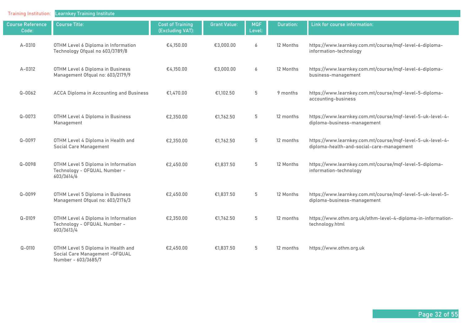| <b>Training Institution:</b>     | <b>Learnkey Training Institute</b>                                                            |                                             |                     |                      |                  |                                                                                                         |
|----------------------------------|-----------------------------------------------------------------------------------------------|---------------------------------------------|---------------------|----------------------|------------------|---------------------------------------------------------------------------------------------------------|
| <b>Course Reference</b><br>Code: | <b>Course Title:</b>                                                                          | <b>Cost of Training</b><br>(Excluding VAT): | <b>Grant Value:</b> | <b>MQF</b><br>Level: | <b>Duration:</b> | Link for course information:                                                                            |
| $A - 0310$                       | OTHM Level 6 Diploma in Information<br>Technology Ofqual no 603/3789/8                        | €4,150.00                                   | €3,000.00           | 6                    | 12 Months        | https://www.learnkey.com.mt/course/mqf-level-6-diploma-<br>information-technology                       |
| A-0312                           | OTHM Level 6 Diploma in Business<br>Management Ofqual no: 603/2179/9                          | €4,150.00                                   | €3,000.00           | 6                    | 12 Months        | https://www.learnkey.com.mt/course/mqf-level-6-diploma-<br>business-management                          |
| $Q - 0062$                       | <b>ACCA Diploma in Accounting and Business</b>                                                | €1,470.00                                   | €1,102.50           | 5                    | 9 months         | https://www.learnkey.com.mt/course/mqf-level-5-diploma-<br>accounting-business                          |
| $Q - 0073$                       | OTHM Level 4 Diploma in Business<br>Management                                                | €2,350.00                                   | €1,762.50           | 5                    | 12 months        | https://www.learnkey.com.mt/course/mqf-level-5-uk-level-4-<br>diploma-business-management               |
| $Q - 0097$                       | OTHM Level 4 Diploma in Health and<br><b>Social Care Management</b>                           | €2,350.00                                   | €1,762.50           | 5                    | 12 months        | https://www.learnkey.com.mt/course/mqf-level-5-uk-level-4-<br>diploma-health-and-social-care-management |
| $Q - 0098$                       | OTHM Level 5 Diploma in Information<br>Technology - OFQUAL Number -<br>603/3614/6             | €2,450.00                                   | €1,837.50           | 5                    | 12 Months        | https://www.learnkey.com.mt/course/mqf-level-5-diploma-<br>information-technology                       |
| $Q - 0099$                       | OTHM Level 5 Diploma in Business<br>Management Ofqual no: 603/2176/3                          | €2,450.00                                   | €1,837.50           | 5                    | 12 Months        | https://www.learnkey.com.mt/course/mqf-level-5-uk-level-5-<br>diploma-business-management               |
| $Q - 0109$                       | OTHM Level 4 Diploma in Information<br>Technology - OFQUAL Number -<br>603/3613/4             | €2,350.00                                   | €1,762.50           | 5                    | 12 months        | https://www.othm.org.uk/othm-level-4-diploma-in-information-<br>technology.html                         |
| $Q - 0110$                       | OTHM Level 5 Diploma in Health and<br>Social Care Management - OF QUAL<br>Number - 603/3685/7 | €2,450.00                                   | €1,837.50           | 5                    | 12 months        | https://www.othm.org.uk                                                                                 |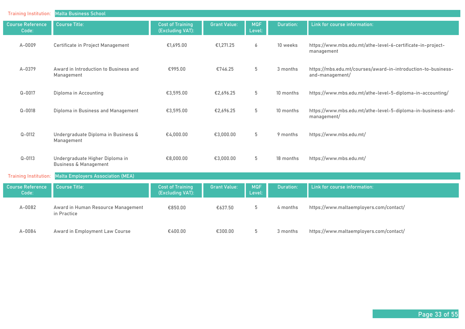| <b>Training Institution:</b>     | <b>Malta Business School</b>                                        |                                             |                     |                      |                  |                                                                                  |
|----------------------------------|---------------------------------------------------------------------|---------------------------------------------|---------------------|----------------------|------------------|----------------------------------------------------------------------------------|
| <b>Course Reference</b><br>Code: | <b>Course Title:</b>                                                | <b>Cost of Training</b><br>(Excluding VAT): | <b>Grant Value:</b> | <b>MQF</b><br>Level: | <b>Duration:</b> | Link for course information:                                                     |
| A-0009                           | Certificate in Project Management                                   | €1,695.00                                   | €1,271.25           | 6                    | 10 weeks         | https://www.mbs.edu.mt/athe-level-6-certificate-in-project-<br>management        |
| A-0379                           | Award in Introduction to Business and<br>Management                 | €995.00                                     | €746.25             | 5                    | 3 months         | https://mbs.edu.mt/courses/award-in-introduction-to-business-<br>and-management/ |
| $Q - 0017$                       | Diploma in Accounting                                               | €3,595.00                                   | €2,696.25           | 5                    | 10 months        | https://www.mbs.edu.mt/athe-level-5-diploma-in-accounting/                       |
| $Q - 0018$                       | Diploma in Business and Management                                  | €3,595.00                                   | €2,696.25           | 5                    | 10 months        | https://www.mbs.edu.mt/athe-level-5-diploma-in-business-and-<br>management/      |
| $Q - 0112$                       | Undergraduate Diploma in Business &<br>Management                   | €4,000.00                                   | €3,000.00           | 5                    | 9 months         | https://www.mbs.edu.mt/                                                          |
| $Q - 0113$                       | Undergraduate Higher Diploma in<br><b>Business &amp; Management</b> | €8,000.00                                   | €3,000.00           | 5                    | 18 months        | https://www.mbs.edu.mt/                                                          |
| <b>Training Institution:</b>     | Malta Employers Association (MEA)                                   |                                             |                     |                      |                  |                                                                                  |
| <b>Course Reference</b><br>Code: | <b>Course Title:</b>                                                | <b>Cost of Training</b><br>(Excluding VAT): | <b>Grant Value:</b> | <b>MQF</b><br>Level: | Duration:        | Link for course information:                                                     |
| $A-0082$                         | Award in Human Resource Management<br>in Practice                   | €850.00                                     | €637.50             | 5                    | 4 months         | https://www.maltaemployers.com/contact/                                          |
| $A - 0084$                       | Award in Employment Law Course                                      | €400.00                                     | €300.00             | 5                    | 3 months         | https://www.maltaemployers.com/contact/                                          |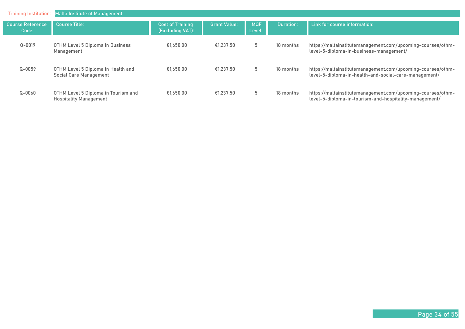| Training Institution:            | <b>Malta Institute of Management</b>                                 |                                             |                     |                      |                  |                                                                                                                       |
|----------------------------------|----------------------------------------------------------------------|---------------------------------------------|---------------------|----------------------|------------------|-----------------------------------------------------------------------------------------------------------------------|
| <b>Course Reference</b><br>Code: | <b>Course Title:</b>                                                 | <b>Cost of Training</b><br>(Excluding VAT): | <b>Grant Value:</b> | <b>MQF</b><br>Level: | <b>Duration:</b> | Link for course information:                                                                                          |
| $Q - 0019$                       | OTHM Level 5 Diploma in Business<br>Management                       | €1.650.00                                   | €1,237.50           | 5                    | 18 months        | https://maltainstitutemanagement.com/upcoming-courses/othm-<br>level-5-diploma-in-business-management/                |
| $Q - 0059$                       | OTHM Level 5 Diploma in Health and<br>Social Care Management         | €1.650.00                                   | €1.237.50           | 5                    | 18 months        | https://maltainstitutemanagement.com/upcoming-courses/othm-<br>level-5-diploma-in-health-and-social-care-management/  |
| $Q - 0060$                       | OTHM Level 5 Diploma in Tourism and<br><b>Hospitality Management</b> | €1.650.00                                   | €1.237.50           | 5                    | 18 months        | https://maltainstitutemanagement.com/upcoming-courses/othm-<br>level-5-diploma-in-tourism-and-hospitality-management/ |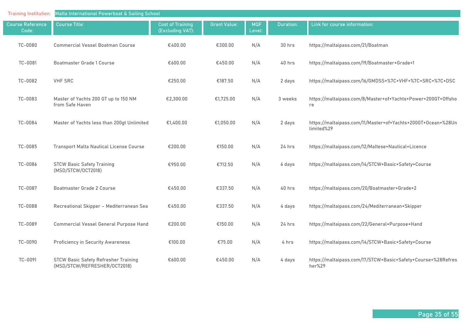| <b>Training Institution:</b>     | Malta International Powerboat & Sailing School                              |                                             |                     |                      |                  |                                                                            |  |  |
|----------------------------------|-----------------------------------------------------------------------------|---------------------------------------------|---------------------|----------------------|------------------|----------------------------------------------------------------------------|--|--|
| <b>Course Reference</b><br>Code: | <b>Course Title:</b>                                                        | <b>Cost of Training</b><br>(Excluding VAT): | <b>Grant Value:</b> | <b>MQF</b><br>Level: | <b>Duration:</b> | Link for course information:                                               |  |  |
| TC-0080                          | <b>Commercial Vessel Boatman Course</b>                                     | €400.00                                     | €300.00             | N/A                  | 30 hrs           | https://maltaipass.com/21/Boatman                                          |  |  |
| TC-0081                          | <b>Boatmaster Grade 1 Course</b>                                            | €600.00                                     | €450.00             | N/A                  | 40 hrs           | https://maltaipass.com/19/Boatmaster+Grade+1                               |  |  |
| TC-0082                          | <b>VHF SRC</b>                                                              | €250.00                                     | €187.50             | N/A                  | 2 days           | https://maltaipass.com/16/GMDSS+%7C+VHF+%7C+SRC+%7C+DSC                    |  |  |
| TC-0083                          | Master of Yachts 200 GT up to 150 NM<br>from Safe Haven                     | €2,300.00                                   | €1,725.00           | N/A                  | 3 weeks          | https://maltaipass.com/8/Master+of+Yachts+Power+200GT+Offsho<br>re         |  |  |
| TC-0084                          | Master of Yachts less than 200gt Unlimited                                  | €1,400.00                                   | €1,050.00           | N/A                  | 2 days           | https://maltaipass.com/11/Master+of+Yachts+200GT+Ocean+%28Un<br>limited%29 |  |  |
| TC-0085                          | <b>Transport Malta Nautical License Course</b>                              | €200.00                                     | €150.00             | N/A                  | 24 hrs           | https://maltaipass.com/12/Maltese+Nautical+Licence                         |  |  |
| TC-0086                          | <b>STCW Basic Safety Training</b><br>(MSD/STCW/OCT2018)                     | €950.00                                     | €712.50             | N/A                  | 6 days           | https://maltaipass.com/14/STCW+Basic+Safety+Course                         |  |  |
| TC-0087                          | Boatmaster Grade 2 Course                                                   | €450.00                                     | €337.50             | N/A                  | 40 hrs           | https://maltaipass.com/20/Boatmaster+Grade+2                               |  |  |
| TC-0088                          | Recreational Skipper - Mediterranean Sea                                    | €450.00                                     | €337.50             | N/A                  | 4 days           | https://maltaipass.com/24/Mediterranean+Skipper                            |  |  |
| TC-0089                          | Commercial Vessel General Purpose Hand                                      | €200.00                                     | €150.00             | N/A                  | 24 hrs           | https://maltaipass.com/22/General+Purpose+Hand                             |  |  |
| TC-0090                          | <b>Proficiency in Security Awareness</b>                                    | €100.00                                     | €75.00              | N/A                  | 4 hrs            | https://maltaipass.com/14/STCW+Basic+Safety+Course                         |  |  |
| TC-0091                          | <b>STCW Basic Safety Refresher Training</b><br>(MSD/STCW/REFRESHER/OCT2018) | €600.00                                     | €450.00             | N/A                  | 4 days           | https://maltaipass.com/17/STCW+Basic+Safety+Course+%28Refres<br>her%29     |  |  |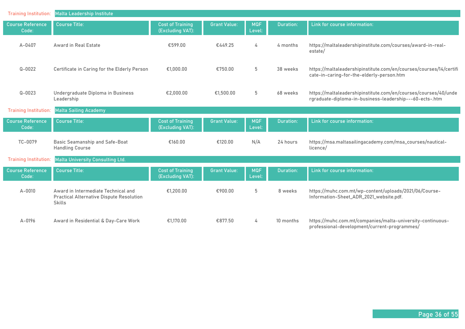| <b>Training Institution:</b>     | <b>Malta Leadership Institute</b>                                                                       |                                             |                     |                      |                  |                                                                                                                            |
|----------------------------------|---------------------------------------------------------------------------------------------------------|---------------------------------------------|---------------------|----------------------|------------------|----------------------------------------------------------------------------------------------------------------------------|
| <b>Course Reference</b><br>Code: | <b>Course Title:</b>                                                                                    | <b>Cost of Training</b><br>(Excluding VAT): | <b>Grant Value:</b> | <b>MQF</b><br>Level: | <b>Duration:</b> | Link for course information:                                                                                               |
| $A - 0407$                       | Award in Real Estate                                                                                    | €599.00                                     | €449.25             | 4                    | 4 months         | https://maltaleadershipinstitute.com/courses/award-in-real-<br>estate/                                                     |
| $Q - 0022$                       | Certificate in Caring for the Elderly Person                                                            | €1,000.00                                   | €750.00             | 5                    | 38 weeks         | https://maltaleadershipinstitute.com/en/courses/courses/14/certifi<br>cate-in-caring-for-the-elderly-person.htm            |
| $Q - 0023$                       | Undergraduate Diploma in Business<br>Leadership                                                         | €2,000.00                                   | €1,500.00           | $5\phantom{.0}$      | 68 weeks         | https://maltaleadershipinstitute.com/en/courses/courses/40/unde<br>rgraduate-diploma-in-business-leadership---60-ects-.htm |
| <b>Training Institution:</b>     | <b>Malta Sailing Academy</b>                                                                            |                                             |                     |                      |                  |                                                                                                                            |
| <b>Course Reference</b><br>Code: | <b>Course Title:</b>                                                                                    | <b>Cost of Training</b><br>(Excluding VAT): | <b>Grant Value:</b> | <b>MQF</b><br>Level: | <b>Duration:</b> | Link for course information:                                                                                               |
| TC-0079                          | Basic Seamanship and Safe-Boat<br><b>Handling Course</b>                                                | €160.00                                     | €120.00             | N/A                  | 24 hours         | https://msa.maltasailingacademy.com/msa_courses/nautical-<br>licence/                                                      |
| <b>Training Institution:</b>     | <b>Malta University Consulting Ltd.</b>                                                                 |                                             |                     |                      |                  |                                                                                                                            |
| <b>Course Reference</b><br>Code: | <b>Course Title:</b>                                                                                    | <b>Cost of Training</b><br>(Excluding VAT): | <b>Grant Value:</b> | <b>MQF</b><br>Level: | <b>Duration:</b> | Link for course information:                                                                                               |
| $A - 0010$                       | Award in Intermediate Technical and<br><b>Practical Alternative Dispute Resolution</b><br><b>Skills</b> | €1,200.00                                   | €900.00             | 5                    | 8 weeks          | https://muhc.com.mt/wp-content/uploads/2021/06/Course-<br>Information-Sheet_ADR_2021_website.pdf.                          |
| $A - 0196$                       | Award in Residential & Day-Care Work                                                                    | €1.170.00                                   | €877.50             | 4                    | 10 months        | https://muhc.com.mt/companies/malta-university-continuous-<br>professional-development/current-programmes/                 |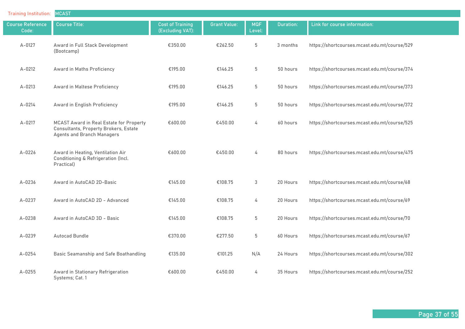| <b>Training Institution:</b>     | <b>MCAST</b>                                                                                                   |                                             |                     |                      |                  |                                              |
|----------------------------------|----------------------------------------------------------------------------------------------------------------|---------------------------------------------|---------------------|----------------------|------------------|----------------------------------------------|
| <b>Course Reference</b><br>Code: | <b>Course Title:</b>                                                                                           | <b>Cost of Training</b><br>(Excluding VAT): | <b>Grant Value:</b> | <b>MQF</b><br>Level: | <b>Duration:</b> | Link for course information:                 |
| $A - 0127$                       | Award in Full Stack Development<br>(Bootcamp)                                                                  | €350.00                                     | €262.50             | 5                    | 3 months         | https://shortcourses.mcast.edu.mt/course/529 |
| $A - 0212$                       | Award in Maths Proficiency                                                                                     | €195.00                                     | €146.25             | 5                    | 50 hours         | https://shortcourses.mcast.edu.mt/course/374 |
| $A - 0213$                       | Award in Maltese Proficiency                                                                                   | €195.00                                     | €146.25             | 5                    | 50 hours         | https://shortcourses.mcast.edu.mt/course/373 |
| A-0214                           | Award in English Proficiency                                                                                   | €195.00                                     | €146.25             | $5\phantom{.0}$      | 50 hours         | https://shortcourses.mcast.edu.mt/course/372 |
| $A - 0217$                       | MCAST Award in Real Estate for Property<br>Consultants, Property Brokers, Estate<br>Agents and Branch Managers | €600.00                                     | €450.00             | 4                    | 60 hours         | https://shortcourses.mcast.edu.mt/course/525 |
| A-0226                           | Award in Heating, Ventilation Air<br>Conditioning & Refrigeration (Incl.<br>Practical)                         | €600.00                                     | €450.00             | 4                    | 80 hours         | https://shortcourses.mcast.edu.mt/course/475 |
| $A - 0236$                       | Award in AutoCAD 2D-Basic                                                                                      | €145.00                                     | €108.75             | 3                    | 20 Hours         | https://shortcourses.mcast.edu.mt/course/68  |
| A-0237                           | Award in AutoCAD 2D - Advanced                                                                                 | €145.00                                     | €108.75             | 4                    | 20 Hours         | https://shortcourses.mcast.edu.mt/course/69  |
| $A - 0238$                       | Award in AutoCAD 3D - Basic                                                                                    | €145.00                                     | €108.75             | 5                    | 20 Hours         | https://shortcourses.mcast.edu.mt/course/70  |
| A-0239                           | <b>Autocad Bundle</b>                                                                                          | €370.00                                     | €277.50             | 5                    | 60 Hours         | https://shortcourses.mcast.edu.mt/course/67  |
| A-0254                           | Basic Seamanship and Safe Boathandling                                                                         | €135.00                                     | €101.25             | N/A                  | 24 Hours         | https://shortcourses.mcast.edu.mt/course/302 |
| $A - 0255$                       | Award in Stationary Refrigeration<br>Systems; Cat. 1                                                           | €600.00                                     | €450.00             | 4                    | 35 Hours         | https://shortcourses.mcast.edu.mt/course/252 |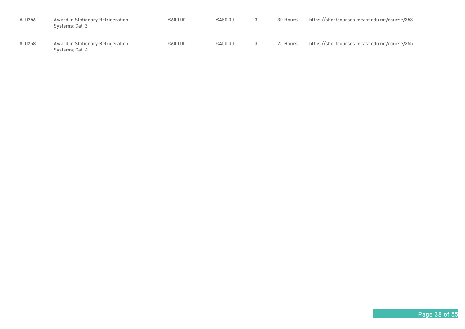| $A - 0256$ | Award in Stationary Refrigeration<br>Systems; Cat. 2 | €600.00 | €450.00 | 30 Hours | https://shortcourses.mcast.edu.mt/course/253 |
|------------|------------------------------------------------------|---------|---------|----------|----------------------------------------------|
| $A - 0258$ | Award in Stationary Refrigeration<br>Systems; Cat. 4 | €600.00 | €450.00 | 25 Hours | https://shortcourses.mcast.edu.mt/course/255 |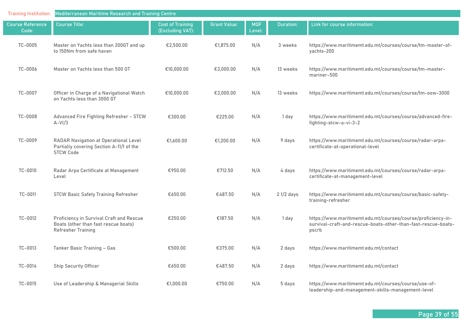| <b>Training Institution:</b> | Mediterranean Maritime Research and Training Centre                                                           |                                             |                     |                      |             |                                                                                                                                        |  |  |
|------------------------------|---------------------------------------------------------------------------------------------------------------|---------------------------------------------|---------------------|----------------------|-------------|----------------------------------------------------------------------------------------------------------------------------------------|--|--|
| Course Reference<br>Code:    | <b>Course Title:</b>                                                                                          | <b>Cost of Training</b><br>(Excluding VAT): | <b>Grant Value:</b> | <b>MQF</b><br>Level: | Duration:   | Link for course information:                                                                                                           |  |  |
| TC-0005                      | Master on Yachts less than 200GT and up<br>to 150Nm from safe haven                                           | €2,500.00                                   | €1,875.00           | N/A                  | 3 weeks     | https://www.maritimemt.edu.mt/courses/course/tm-master-of-<br>yachts-200                                                               |  |  |
| TC-0006                      | Master on Yachts less than 500 GT                                                                             | €10,000.00                                  | €3,000.00           | N/A                  | 13 weeks    | https://www.maritimemt.edu.mt/courses/course/tm-master-<br>mariner-500                                                                 |  |  |
| TC-0007                      | Officer in Charge of a Navigational Watch<br>on Yachts less than 3000 GT                                      | €10,000.00                                  | €3,000.00           | N/A                  | 13 weeks    | https://www.maritimemt.edu.mt/courses/course/tm-oow-3000                                                                               |  |  |
| TC-0008                      | Advanced Fire Fighting Refresher - STCW<br>$A-VI/3$                                                           | €300.00                                     | €225.00             | N/A                  | 1 day       | https://www.maritimemt.edu.mt/courses/course/advanced-fire-<br>fighting-stcw-a-vi-3-2                                                  |  |  |
| TC-0009                      | RADAR Navigation at Operational Level<br>Partially covering Section A-11/1 of the<br><b>STCW Code</b>         | €1,600.00                                   | €1,200.00           | N/A                  | 9 days      | https://www.maritimemt.edu.mt/courses/course/radar-arpa-<br>certificate-at-operational-level                                           |  |  |
| TC-0010                      | Radar Arpa Certificate at Management<br>Level                                                                 | €950.00                                     | €712.50             | N/A                  | 4 days      | https://www.maritimemt.edu.mt/courses/course/radar-arpa-<br>certificate-at-management-level                                            |  |  |
| TC-0011                      | <b>STCW Basic Safety Training Refresher</b>                                                                   | €650.00                                     | €487.50             | N/A                  | $21/2$ days | https://www.maritimemt.edu.mt/courses/course/basic-safety-<br>training-refresher                                                       |  |  |
| TC-0012                      | Proficiency in Survival Craft and Rescue<br>Boats (other than fast rescue boats)<br><b>Refresher Training</b> | €250.00                                     | €187.50             | N/A                  | 1 day       | https://www.maritimemt.edu.mt/courses/course/proficiency-in-<br>survival-craft-and-rescue-boats-other-than-fast-rescue-boats-<br>pscrb |  |  |
| TC-0013                      | Tanker Basic Training - Gas                                                                                   | €500.00                                     | €375.00             | N/A                  | 2 days      | https://www.maritimemt.edu.mt/contact                                                                                                  |  |  |
| TC-0014                      | <b>Ship Security Officer</b>                                                                                  | €650.00                                     | €487.50             | N/A                  | 2 days      | https://www.maritimemt.edu.mt/contact                                                                                                  |  |  |
| TC-0015                      | Use of Leadership & Managerial Skills                                                                         | €1,000.00                                   | €750.00             | N/A                  | 5 days      | https://www.maritimemt.edu.mt/courses/course/use-of-<br>leadership-and-management-skills-management-level                              |  |  |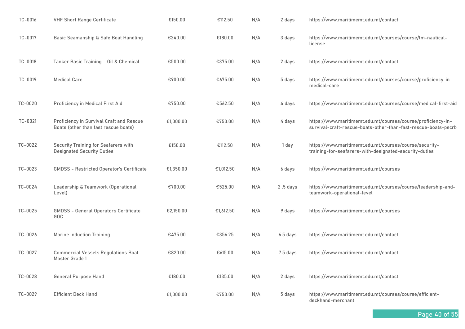| TC-0016 | <b>VHF Short Range Certificate</b>                                               | €150.00   | €112.50   | N/A | 2 days     | https://www.maritimemt.edu.mt/contact                                                                                          |
|---------|----------------------------------------------------------------------------------|-----------|-----------|-----|------------|--------------------------------------------------------------------------------------------------------------------------------|
| TC-0017 | Basic Seamanship & Safe Boat Handling                                            | €240.00   | €180.00   | N/A | 3 days     | https://www.maritimemt.edu.mt/courses/course/tm-nautical-<br>license                                                           |
| TC-0018 | Tanker Basic Training - Oil & Chemical                                           | €500.00   | €375.00   | N/A | 2 days     | https://www.maritimemt.edu.mt/contact                                                                                          |
| TC-0019 | <b>Medical Care</b>                                                              | €900.00   | €675.00   | N/A | 5 days     | https://www.maritimemt.edu.mt/courses/course/proficiency-in-<br>medical-care                                                   |
| TC-0020 | Proficiency in Medical First Aid                                                 | €750.00   | €562.50   | N/A | 4 days     | https://www.maritimemt.edu.mt/courses/course/medical-first-aid                                                                 |
| TC-0021 | Proficiency in Survival Craft and Rescue<br>Boats (other than fast rescue boats) | €1,000.00 | €750.00   | N/A | 4 days     | https://www.maritimemt.edu.mt/courses/course/proficiency-in-<br>survival-craft-rescue-boats-other-than-fast-rescue-boats-pscrb |
| TC-0022 | Security Training for Seafarers with<br><b>Designated Security Duties</b>        | €150.00   | €112.50   | N/A | 1 day      | https://www.maritimemt.edu.mt/courses/course/security-<br>training-for-seafarers-with-designated-security-duties               |
| TC-0023 | <b>GMDSS - Restricted Operator's Certificate</b>                                 | €1,350.00 | €1,012.50 | N/A | 6 days     | https://www.maritimemt.edu.mt/courses                                                                                          |
| TC-0024 | Leadership & Teamwork (Operational<br>Level)                                     | €700.00   | €525.00   | N/A | $2.5$ days | https://www.maritimemt.edu.mt/courses/course/leadership-and-<br>teamwork-operational-level                                     |
| TC-0025 | <b>GMDSS - General Operators Certificate</b><br>GOC                              | €2,150.00 | €1,612.50 | N/A | 9 days     | https://www.maritimemt.edu.mt/courses                                                                                          |
| TC-0026 | <b>Marine Induction Training</b>                                                 | €475.00   | €356.25   | N/A | 6.5 days   | https://www.maritimemt.edu.mt/contact                                                                                          |
| TC-0027 | <b>Commercial Vessels Regulations Boat</b><br>Master Grade 1                     | €820.00   | €615.00   | N/A | $7.5$ days | https://www.maritimemt.edu.mt/contact                                                                                          |
| TC-0028 | General Purpose Hand                                                             | €180.00   | €135.00   | N/A | 2 days     | https://www.maritimemt.edu.mt/contact                                                                                          |
| TC-0029 | <b>Efficient Deck Hand</b>                                                       | €1,000.00 | €750.00   | N/A | 5 days     | https://www.maritimemt.edu.mt/courses/course/efficient-<br>deckhand-merchant                                                   |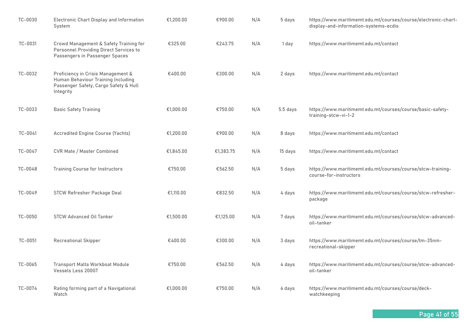| TC-0030 | <b>Electronic Chart Display and Information</b><br>System                                                                      | €1,200.00 | €900.00   | N/A | 5 days     | https://www.maritimemt.edu.mt/courses/course/electronic-chart-<br>display-and-information-systems-ecdis |
|---------|--------------------------------------------------------------------------------------------------------------------------------|-----------|-----------|-----|------------|---------------------------------------------------------------------------------------------------------|
| TC-0031 | Crowd Management & Safety Training for<br>Personnel Providing Direct Services to<br>Passengers in Passenger Spaces             | €325.00   | €243.75   | N/A | 1 day      | https://www.maritimemt.edu.mt/contact                                                                   |
| TC-0032 | Proficiency in Crisis Management &<br>Human Behaviour Training Including<br>Passenger Safety, Cargo Safety & Hull<br>Integrity | €400.00   | €300.00   | N/A | 2 days     | https://www.maritimemt.edu.mt/contact                                                                   |
| TC-0033 | <b>Basic Safety Training</b>                                                                                                   | €1,000.00 | €750.00   | N/A | $5.5$ days | https://www.maritimemt.edu.mt/courses/course/basic-safety-<br>training-stcw-vi-1-2                      |
| TC-0041 | Accredited Engine Course (Yachts)                                                                                              | €1,200.00 | €900.00   | N/A | 8 days     | https://www.maritimemt.edu.mt/contact                                                                   |
| TC-0047 | <b>CVR Mate / Master Combined</b>                                                                                              | €1,845.00 | €1,383.75 | N/A | 15 days    | https://www.maritimemt.edu.mt/contact                                                                   |
| TC-0048 | <b>Training Course for Instructors</b>                                                                                         | €750.00   | €562.50   | N/A | 5 days     | https://www.maritimemt.edu.mt/courses/course/stcw-training-<br>course-for-instructors                   |
| TC-0049 | STCW Refresher Package Deal                                                                                                    | €1,110.00 | €832.50   | N/A | 4 days     | https://www.maritimemt.edu.mt/courses/course/stcw-refresher-<br>package                                 |
| TC-0050 | <b>STCW Advanced Oil Tanker</b>                                                                                                | €1,500.00 | €1,125.00 | N/A | 7 days     | https://www.maritimemt.edu.mt/courses/course/stcw-advanced-<br>oil-tanker                               |
| TC-0051 | <b>Recreational Skipper</b>                                                                                                    | €400.00   | €300.00   | N/A | 3 days     | https://www.maritimemt.edu.mt/courses/course/tm-35nm-<br>recreational-skipper                           |
| TC-0065 | Transport Malta Workboat Module<br>Vessels Less 200GT                                                                          | €750.00   | €562.50   | N/A | 4 days     | https://www.maritimemt.edu.mt/courses/course/stcw-advanced-<br>oil-tanker                               |
| TC-0074 | Rating forming part of a Navigational<br>Watch                                                                                 | €1,000.00 | €750.00   | N/A | 6 days     | https://www.maritimemt.edu.mt/courses/course/deck-<br>watchkeeping                                      |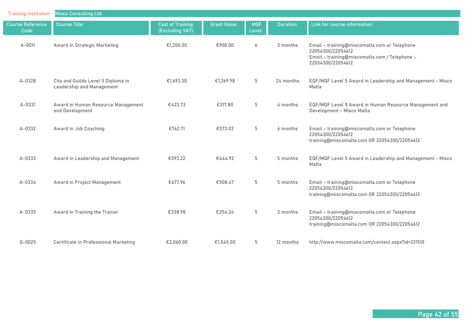| <b>Training Institution:</b>     | <b>Misco Consulting Ltd.</b>                                    |                                             |                     |                      |           |                                                                                                                                         |
|----------------------------------|-----------------------------------------------------------------|---------------------------------------------|---------------------|----------------------|-----------|-----------------------------------------------------------------------------------------------------------------------------------------|
| <b>Course Reference</b><br>Code: | <b>Course Title:</b>                                            | <b>Cost of Training</b><br>(Excluding VAT): | <b>Grant Value:</b> | <b>MQF</b><br>Level: | Duration: | Link for course information:                                                                                                            |
| A-0011                           | Award in Strategic Marketing                                    | €1,200.00                                   | €900.00             | 6                    | 3 months  | Email - training@miscomalta.com or Telephone<br>22054300/22054612<br>Email - training@miscomalta.com / Telephone -<br>22054300/22054612 |
| A-0328                           | City and Guilds Level 5 Diploma in<br>Leadership and Management | €1,693.30                                   | €1,269.98           | 5                    | 24 months | EQF/MQF Level 5 Award in Leadership and Management - Misco<br>Malta                                                                     |
| $A - 0331$                       | Award in Human Resource Management<br>and Development           | €423.73                                     | €317.80             | 5                    | 4 months  | EQF/MQF Level 5 Award in Human Resource Management and<br>Development - Misco Malta                                                     |
| $A - 0332$                       | Award in Job Coaching                                           | €762.71                                     | €572.03             | 5                    | 6 months  | Email - training@miscomalta.com or Telephone<br>22054300/22054612<br>training@miscomalta.com OR 22054300/22054612                       |
| A-0333                           | Award in Leadership and Management                              | €593.22                                     | €444.92             | 5                    | 5 months  | EQF/MQF Level 5 Award in Leadership and Management - Misco<br>Malta                                                                     |
| A-0334                           | Award in Project Management                                     | €677.96                                     | €508.47             | 5                    | 5 months  | Email - training@miscomalta.com or Telephone<br>22054300/22054612<br>training@miscomalta.com OR 22054300/22054612                       |
| $A - 0335$                       | Award in Training the Trainer                                   | €338.98                                     | €254.24             | 5                    | 3 months  | Email - training@miscomalta.com or Telephone<br>22054300/22054612<br>training@miscomalta.com OR 22054300/22054612                       |
| $Q - 0025$                       | Certificate in Professional Marketing                           | €2,060.00                                   | €1,545.00           | 5                    | 12 months | http://www.miscomalta.com/content.aspx?id=331510                                                                                        |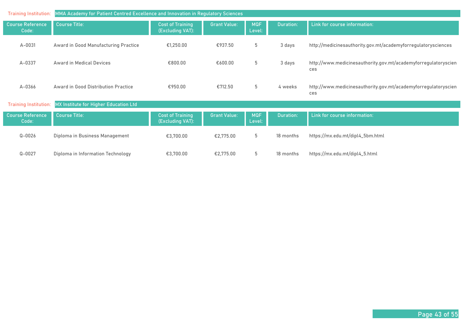| <b>Training Institution:</b>     | MMA Academy for Patient Centred Excellence and Innovation in Regulatory Sciences |                                             |                     |                      |                  |                                                                       |  |  |  |
|----------------------------------|----------------------------------------------------------------------------------|---------------------------------------------|---------------------|----------------------|------------------|-----------------------------------------------------------------------|--|--|--|
| <b>Course Reference</b><br>Code: | <b>Course Title:</b>                                                             | <b>Cost of Training</b><br>(Excluding VAT): | <b>Grant Value:</b> | <b>MQF</b><br>Level: | <b>Duration:</b> | Link for course information:                                          |  |  |  |
| A-0031                           | Award in Good Manufacturing Practice                                             | €1,250.00                                   | €937.50             | 5                    | 3 days           | http://medicinesauthority.gov.mt/academyforregulatorysciences         |  |  |  |
| A-0337                           | Award in Medical Devices                                                         | €800.00                                     | €600.00             | 5                    | 3 days           | http://www.medicinesauthority.gov.mt/academyforregulatoryscien<br>ces |  |  |  |
| A-0366                           | Award in Good Distribution Practice                                              | €950.00                                     | €712.50             | 5                    | 4 weeks          | http://www.medicinesauthority.gov.mt/academyforregulatoryscien<br>ces |  |  |  |
| <b>Training Institution:</b>     | MX Institute for Higher Education Ltd                                            |                                             |                     |                      |                  |                                                                       |  |  |  |
| <b>Course Reference</b><br>Code: | <b>Course Title:</b>                                                             | <b>Cost of Training</b><br>(Excluding VAT): | <b>Grant Value:</b> | <b>MQF</b><br>Level: | <b>Duration:</b> | Link for course information:                                          |  |  |  |
| $Q - 0026$                       | Diploma in Business Management                                                   | €3,700.00                                   | €2,775.00           | 5                    | 18 months        | https://mx.edu.mt/dipl4_5bm.html                                      |  |  |  |
| $Q - 0027$                       | Diploma in Information Technology                                                | €3,700.00                                   | €2,775.00           | 5                    | 18 months        | https://mx.edu.mt/dipl4_5.html                                        |  |  |  |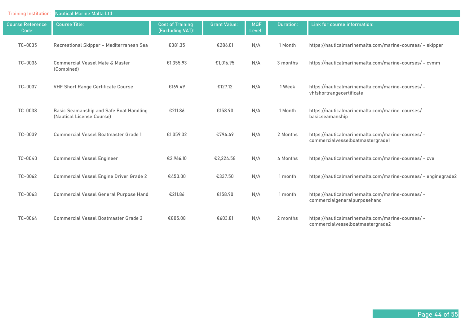| <b>Training Institution:</b>     | <b>Nautical Marine Malta Ltd</b>                                     |                                             |                     |                      |           |                                                                                       |  |  |  |
|----------------------------------|----------------------------------------------------------------------|---------------------------------------------|---------------------|----------------------|-----------|---------------------------------------------------------------------------------------|--|--|--|
| <b>Course Reference</b><br>Code: | <b>Course Title:</b>                                                 | <b>Cost of Training</b><br>(Excluding VAT): | <b>Grant Value:</b> | <b>MQF</b><br>Level: | Duration: | Link for course information:                                                          |  |  |  |
| TC-0035                          | Recreational Skipper - Mediterranean Sea                             | €381.35                                     | €286.01             | N/A                  | 1 Month   | https://nauticalmarinemalta.com/marine-courses/ - skipper                             |  |  |  |
| TC-0036                          | <b>Commercial Vessel Mate &amp; Master</b><br>(Combined)             | €1,355.93                                   | €1,016.95           | N/A                  | 3 months  | https://nauticalmarinemalta.com/marine-courses/ - cvmm                                |  |  |  |
| TC-0037                          | <b>VHF Short Range Certificate Course</b>                            | €169.49                                     | €127.12             | N/A                  | 1 Week    | https://nauticalmarinemalta.com/marine-courses/-<br>vhfshortrangecertificate          |  |  |  |
| TC-0038                          | Basic Seamanship and Safe Boat Handling<br>(Nautical License Course) | €211.86                                     | €158.90             | N/A                  | 1 Month   | https://nauticalmarinemalta.com/marine-courses/ -<br>basicseamanship                  |  |  |  |
| TC-0039                          | <b>Commercial Vessel Boatmaster Grade 1</b>                          | €1,059.32                                   | €794.49             | N/A                  | 2 Months  | https://nauticalmarinemalta.com/marine-courses/ -<br>commercialvesselboatmastergrade1 |  |  |  |
| TC-0040                          | <b>Commercial Vessel Engineer</b>                                    | €2,966.10                                   | €2,224.58           | N/A                  | 4 Months  | https://nauticalmarinemalta.com/marine-courses/ - cve                                 |  |  |  |
| TC-0062                          | <b>Commercial Vessel Engine Driver Grade 2</b>                       | €450.00                                     | €337.50             | N/A                  | 1 month   | https://nauticalmarinemalta.com/marine-courses/ - enginegrade2                        |  |  |  |
| TC-0063                          | Commercial Vessel General Purpose Hand                               | €211.86                                     | €158.90             | N/A                  | 1 month   | https://nauticalmarinemalta.com/marine-courses/ -<br>commercialgeneralpurposehand     |  |  |  |
| TC-0064                          | <b>Commercial Vessel Boatmaster Grade 2</b>                          | €805.08                                     | €603.81             | N/A                  | 2 months  | https://nauticalmarinemalta.com/marine-courses/ -<br>commercialvesselboatmastergrade2 |  |  |  |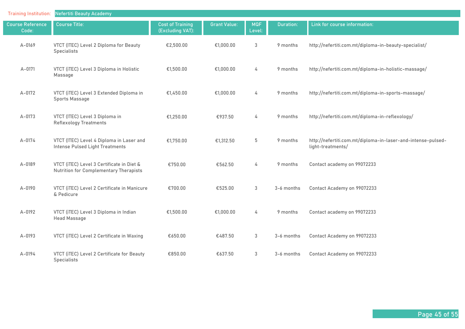| <b>Training Institution:</b>     | <b>Nefertiti Beauty Academy</b>                                                            |                                             |                     |                      |                  |                                                                                   |
|----------------------------------|--------------------------------------------------------------------------------------------|---------------------------------------------|---------------------|----------------------|------------------|-----------------------------------------------------------------------------------|
| <b>Course Reference</b><br>Code: | <b>Course Title:</b>                                                                       | <b>Cost of Training</b><br>(Excluding VAT): | <b>Grant Value:</b> | <b>MQF</b><br>Level: | <b>Duration:</b> | Link for course information:                                                      |
| A-0169                           | VTCT (ITEC) Level 2 Diploma for Beauty<br><b>Specialists</b>                               | €2,500.00                                   | €1,000.00           | 3                    | 9 months         | http://nefertiti.com.mt/diploma-in-beauty-specialist/                             |
| $A - 0171$                       | VTCT (iTEC) Level 3 Diploma in Holistic<br>Massage                                         | €1,500.00                                   | €1,000.00           | 4                    | 9 months         | http://nefertiti.com.mt/diploma-in-holistic-massage/                              |
| $A-0172$                         | VTCT (iTEC) Level 3 Extended Diploma in<br>Sports Massage                                  | €1,450.00                                   | €1,000.00           | 4                    | 9 months         | http://nefertiti.com.mt/diploma-in-sports-massage/                                |
| $A - 0173$                       | VTCT (ITEC) Level 3 Diploma in<br><b>Reflexology Treatments</b>                            | €1,250.00                                   | €937.50             | 4                    | 9 months         | http://nefertiti.com.mt/diploma-in-reflexology/                                   |
| $A - 0174$                       | VTCT (ITEC) Level 4 Diploma in Laser and<br>Intense Pulsed Light Treatments                | €1,750.00                                   | €1,312.50           | 5                    | 9 months         | http://nefertiti.com.mt/diploma-in-laser-and-intense-pulsed-<br>light-treatments/ |
| A-0189                           | VTCT (iTEC) Level 3 Certificate in Diet &<br><b>Nutrition for Complementary Therapists</b> | €750.00                                     | €562.50             | 4                    | 9 months         | Contact academy on 99072233                                                       |
| A-0190                           | VTCT (iTEC) Level 2 Certificate in Manicure<br>& Pedicure                                  | €700.00                                     | €525.00             | 3                    | 3-6 months       | Contact Academy on 99072233                                                       |
| A-0192                           | VTCT (iTEC) Level 3 Diploma in Indian<br><b>Head Massage</b>                               | €1,500.00                                   | €1,000.00           | 4                    | 9 months         | Contact academy on 99072233                                                       |
| A-0193                           | VTCT (iTEC) Level 2 Certificate in Waxing                                                  | €650.00                                     | €487.50             | 3                    | 3-6 months       | Contact Academy on 99072233                                                       |
| A-0194                           | VTCT (iTEC) Level 2 Certificate for Beauty<br><b>Specialists</b>                           | €850.00                                     | €637.50             | 3                    | 3-6 months       | Contact Academy on 99072233                                                       |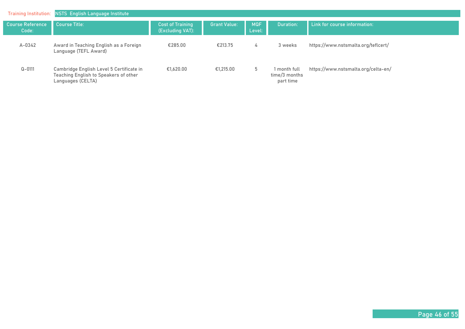| <b>Training Institution:</b>     | <b>NSTS</b> English Language Institute                                                                 |                                             |                     |                      |                                            |                                     |
|----------------------------------|--------------------------------------------------------------------------------------------------------|---------------------------------------------|---------------------|----------------------|--------------------------------------------|-------------------------------------|
| <b>Course Reference</b><br>Code: | <b>Course Title:</b>                                                                                   | <b>Cost of Training</b><br>(Excluding VAT): | <b>Grant Value:</b> | <b>MQF</b><br>Level: | <b>Duration:</b>                           | Link for course information:        |
| $A - 0342$                       | Award in Teaching English as a Foreign<br>Language (TEFL Award)                                        | €285.00                                     | €213.75             | 4                    | 3 weeks                                    | https://www.nstsmalta.org/teflcert/ |
| $Q - 0111$                       | Cambridge English Level 5 Certificate in<br>Teaching English to Speakers of other<br>Languages (CELTA) | €1.620.00                                   | €1.215.00           | 5                    | 1 month full<br>time/3 months<br>part time | https://www.nstsmalta.org/celta-en/ |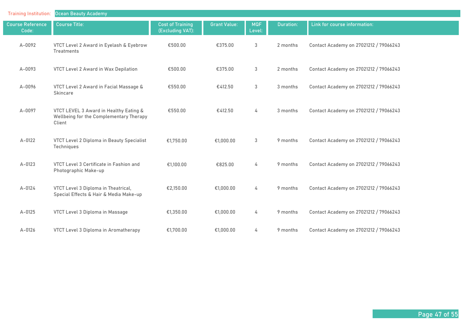| <b>Training Institution:</b>     | <b>Ocean Beauty Academy</b>                                                                 |                                             |                     |                      |                  |                                        |
|----------------------------------|---------------------------------------------------------------------------------------------|---------------------------------------------|---------------------|----------------------|------------------|----------------------------------------|
| <b>Course Reference</b><br>Code: | <b>Course Title:</b>                                                                        | <b>Cost of Training</b><br>(Excluding VAT): | <b>Grant Value:</b> | <b>MQF</b><br>Level: | <b>Duration:</b> | Link for course information:           |
| A-0092                           | VTCT Level 2 Award in Eyelash & Eyebrow<br>Treatments                                       | €500.00                                     | €375.00             | 3                    | 2 months         | Contact Academy on 27021212 / 79066243 |
| A-0093                           | <b>VTCT Level 2 Award in Wax Depilation</b>                                                 | €500.00                                     | €375.00             | 3                    | 2 months         | Contact Academy on 27021212 / 79066243 |
| A-0096                           | VTCT Level 2 Award in Facial Massage &<br>Skincare                                          | €550.00                                     | €412.50             | 3                    | 3 months         | Contact Academy on 27021212 / 79066243 |
| A-0097                           | VTCT LEVEL 3 Award in Healthy Eating &<br>Wellbeing for the Complementary Therapy<br>Client | €550.00                                     | €412.50             | 4                    | 3 months         | Contact Academy on 27021212 / 79066243 |
| $A-0122$                         | <b>VTCT Level 2 Diploma in Beauty Specialist</b><br>Techniques                              | €1,750.00                                   | €1,000.00           | 3                    | 9 months         | Contact Academy on 27021212 / 79066243 |
| $A - 0123$                       | VTCT Level 3 Certificate in Fashion and<br>Photographic Make-up                             | €1,100.00                                   | €825.00             | 4                    | 9 months         | Contact Academy on 27021212 / 79066243 |
| A-0124                           | VTCT Level 3 Diploma in Theatrical,<br>Special Effects & Hair & Media Make-up               | €2,150.00                                   | €1,000.00           | 4                    | 9 months         | Contact Academy on 27021212 / 79066243 |
| $A - 0125$                       | VTCT Level 3 Diploma in Massage                                                             | €1,350.00                                   | €1,000.00           | 4                    | 9 months         | Contact Academy on 27021212 / 79066243 |
| $A - 0126$                       | VTCT Level 3 Diploma in Aromatherapy                                                        | €1,700.00                                   | €1,000.00           | 4                    | 9 months         | Contact Academy on 27021212 / 79066243 |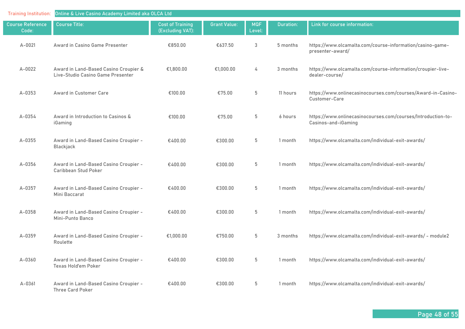| <b>Training Institution:</b>     | Online & Live Casino Academy Limited aka OLCA Ltd                          |                                             |                     |                      |           |                                                                                     |  |  |  |
|----------------------------------|----------------------------------------------------------------------------|---------------------------------------------|---------------------|----------------------|-----------|-------------------------------------------------------------------------------------|--|--|--|
| <b>Course Reference</b><br>Code: | <b>Course Title:</b>                                                       | <b>Cost of Training</b><br>(Excluding VAT): | <b>Grant Value:</b> | <b>MQF</b><br>Level: | Duration: | Link for course information:                                                        |  |  |  |
| A-0021                           | Award in Casino Game Presenter                                             | €850.00                                     | €637.50             | 3                    | 5 months  | https://www.olcamalta.com/course-information/casino-game-<br>presenter-award/       |  |  |  |
| $A-0022$                         | Award in Land-Based Casino Croupier &<br>Live-Studio Casino Game Presenter | €1,800.00                                   | €1,000.00           | 4                    | 3 months  | https://www.olcamalta.com/course-information/croupier-live-<br>dealer-course/       |  |  |  |
| $A - 0353$                       | Award in Customer Care                                                     | €100.00                                     | €75.00              | 5                    | 11 hours  | https://www.onlinecasinocourses.com/courses/Award-in-Casino-<br>Customer-Care       |  |  |  |
| A-0354                           | Award in Introduction to Casinos &<br>iGaming                              | €100.00                                     | €75.00              | 5                    | 6 hours   | https://www.onlinecasinocourses.com/courses/Introduction-to-<br>Casinos-and-iGaming |  |  |  |
| $A - 0355$                       | Award in Land-Based Casino Croupier -<br>Blackjack                         | €400.00                                     | €300.00             | 5                    | 1 month   | https://www.olcamalta.com/individual-exit-awards/                                   |  |  |  |
| A-0356                           | Award in Land-Based Casino Croupier -<br>Caribbean Stud Poker              | €400.00                                     | €300.00             | 5                    | 1 month   | https://www.olcamalta.com/individual-exit-awards/                                   |  |  |  |
| A-0357                           | Award in Land-Based Casino Croupier -<br>Mini Baccarat                     | €400.00                                     | €300.00             | 5                    | 1 month   | https://www.olcamalta.com/individual-exit-awards/                                   |  |  |  |
| A-0358                           | Award in Land-Based Casino Croupier -<br>Mini-Punto Banco                  | €400.00                                     | €300.00             | 5                    | 1 month   | https://www.olcamalta.com/individual-exit-awards/                                   |  |  |  |
| A-0359                           | Award in Land-Based Casino Croupier -<br>Roulette                          | €1,000.00                                   | €750.00             | 5                    | 3 months  | https://www.olcamalta.com/individual-exit-awards/ - module2                         |  |  |  |
| A-0360                           | Award in Land-Based Casino Croupier -<br><b>Texas Hold'em Poker</b>        | €400.00                                     | €300.00             | 5                    | 1 month   | https://www.olcamalta.com/individual-exit-awards/                                   |  |  |  |
| $A - 0361$                       | Award in Land-Based Casino Croupier -<br>Three Card Poker                  | €400.00                                     | €300.00             | 5                    | 1 month   | https://www.olcamalta.com/individual-exit-awards/                                   |  |  |  |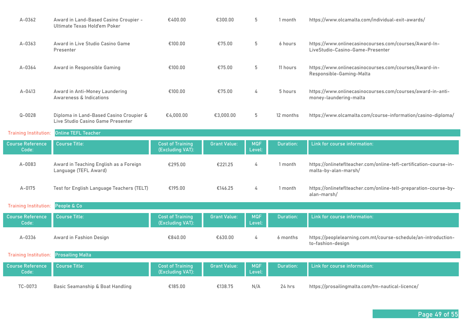| $A - 0362$                       | Award in Land-Based Casino Croupier -<br>Ultimate Texas Hold'em Poker        | €400.00                                     | €300.00             | 5                    | 1 month          | https://www.olcamalta.com/individual-exit-awards/                                          |
|----------------------------------|------------------------------------------------------------------------------|---------------------------------------------|---------------------|----------------------|------------------|--------------------------------------------------------------------------------------------|
| $A - 0363$                       | Award in Live Studio Casino Game<br>Presenter                                | €100.00                                     | €75.00              | 5                    | 6 hours          | https://www.onlinecasinocourses.com/courses/Award-In-<br>LiveStudio-Casino-Game-Presenter  |
| $A - 0364$                       | Award in Responsible Gaming                                                  | €100.00                                     | €75.00              | 5                    | 11 hours         | https://www.onlinecasinocourses.com/courses/Award-in-<br>Responsible-Gaming-Malta          |
| A-0413                           | Award in Anti-Money Laundering<br>Awareness & Indications                    | €100.00                                     | €75.00              | 4                    | 5 hours          | https://www.onlinecasinocourses.com/courses/award-in-anti-<br>money-laundering-malta       |
| $Q - 0028$                       | Diploma in Land-Based Casino Croupier &<br>Live Studio Casino Game Presenter | €4,000.00                                   | €3,000.00           | 5                    | 12 months        | https://www.olcamalta.com/course-information/casino-diploma/                               |
| <b>Training Institution:</b>     | <b>Online TEFL Teacher</b>                                                   |                                             |                     |                      |                  |                                                                                            |
| <b>Course Reference</b><br>Code: | <b>Course Title:</b>                                                         | <b>Cost of Training</b><br>(Excluding VAT): | <b>Grant Value:</b> | <b>MQF</b><br>Level: | <b>Duration:</b> | Link for course information:                                                               |
| A-0083                           | Award in Teaching English as a Foreign<br>Language (TEFL Award)              | €295.00                                     | €221.25             | 4                    | 1 month          | https://onlineteflteacher.com/online-tefl-certification-course-in-<br>malta-by-alan-marsh/ |
| $A - 0175$                       | Test for English Language Teachers (TELT)                                    | €195.00                                     | €146.25             | 4                    | 1 month          | https://onlineteflteacher.com/online-telt-preparation-course-by-<br>alan-marsh/            |
| <b>Training Institution:</b>     | People & Co                                                                  |                                             |                     |                      |                  |                                                                                            |
| <b>Course Reference</b>          |                                                                              |                                             |                     |                      |                  |                                                                                            |
| Code:                            | <b>Course Title:</b>                                                         | <b>Cost of Training</b><br>(Excluding VAT): | <b>Grant Value:</b> | <b>MQF</b><br>Level: | Duration:        | Link for course information:                                                               |
| A-0336                           | Award in Fashion Design                                                      | €840.00                                     | €630.00             | 4                    | 6 months         | https://peoplelearning.com.mt/course-schedule/an-introduction-<br>to-fashion-design        |
| <b>Training Institution:</b>     | <b>Prosailing Malta</b>                                                      |                                             |                     |                      |                  |                                                                                            |
| <b>Course Reference</b><br>Code: | <b>Course Title:</b>                                                         | <b>Cost of Training</b><br>(Excluding VAT): | <b>Grant Value:</b> | <b>MQF</b><br>Level: | <b>Duration:</b> | Link for course information:                                                               |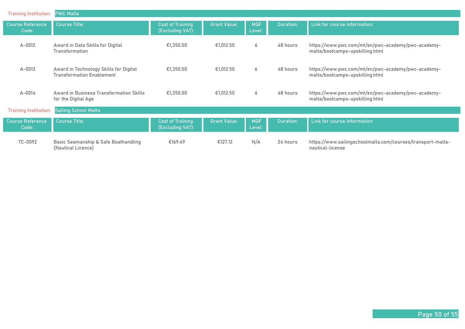| <b>Training Institution:</b>     | <b>PWC Malta</b>                                                           |                                             |                     |                      |                  |                                                                                       |
|----------------------------------|----------------------------------------------------------------------------|---------------------------------------------|---------------------|----------------------|------------------|---------------------------------------------------------------------------------------|
| <b>Course Reference</b><br>Code: | <b>Course Title:</b>                                                       | <b>Cost of Training</b><br>(Excluding VAT): | <b>Grant Value:</b> | <b>MQF</b><br>Level: | <b>Duration:</b> | Link for course information:                                                          |
| $A - 0012$                       | Award in Data Skills for Digital<br><b>Transformation</b>                  | €1,350.00                                   | €1,012.50           | 6                    | 48 hours         | https://www.pwc.com/mt/en/pwc-academy/pwc-academy-<br>malta/bootcamps-upskilling.html |
| $A - 0013$                       | Award in Technology Skills for Digital<br><b>Transformation Enablement</b> | €1,350.00                                   | €1,012.50           | 6                    | 48 hours         | https://www.pwc.com/mt/en/pwc-academy/pwc-academy-<br>malta/bootcamps-upskilling.html |
| $A - 0014$                       | Award in Business Transformation Skills<br>for the Digital Age             | €1,350.00                                   | €1,012.50           | 6                    | 48 hours         | https://www.pwc.com/mt/en/pwc-academy/pwc-academy-<br>malta/bootcamps-upskilling.html |
| <b>Training Institution:</b>     | <b>Sailing School Malta</b>                                                |                                             |                     |                      |                  |                                                                                       |
| <b>Course Reference</b><br>Code: | <b>Course Title:</b>                                                       | <b>Cost of Training</b><br>(Excluding VAT): | <b>Grant Value:</b> | <b>MQF</b><br>Level: | <b>Duration:</b> | Link for course information:                                                          |
| TC-0092                          | Basic Seamanship & Safe Boathandling<br>(Nautical Licence)                 | €169.49                                     | €127.12             | N/A                  | 24 hours         | https://www.sailingschoolmalta.com/courses/transport-malta-<br>nautical-license       |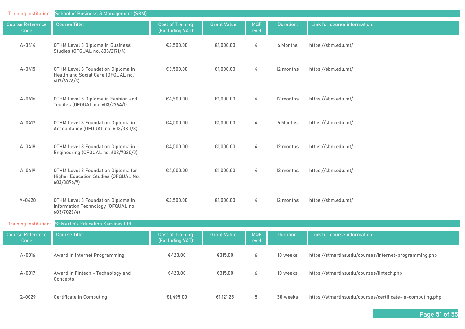| <b>Training Institution:</b>     | <b>School of Business &amp; Management (SBM)</b>                                           |                                             |                     |                      |           |                                                            |
|----------------------------------|--------------------------------------------------------------------------------------------|---------------------------------------------|---------------------|----------------------|-----------|------------------------------------------------------------|
| <b>Course Reference</b><br>Code: | <b>Course Title:</b>                                                                       | <b>Cost of Training</b><br>(Excluding VAT): | <b>Grant Value:</b> | <b>MQF</b><br>Level: | Duration: | Link for course information:                               |
| A-0414                           | OTHM Level 3 Diploma in Business<br>Studies (OFQUAL no. 603/2171/4)                        | €3,500.00                                   | €1,000.00           | 4                    | 6 Months  | https://sbm.edu.mt/                                        |
| A-0415                           | OTHM Level 3 Foundation Diploma in<br>Health and Social Care (OFQUAL no.<br>603/6776/3)    | €3,500.00                                   | €1,000.00           | 4                    | 12 months | https://sbm.edu.mt/                                        |
| A-0416                           | OTHM Level 3 Diploma in Fashion and<br>Textiles (OFQUAL no. 603/7764/1)                    | €4,500.00                                   | €1,000.00           | 4                    | 12 months | https://sbm.edu.mt/                                        |
| A-0417                           | OTHM Level 3 Foundation Diploma in<br>Accountancy (OFQUAL no. 603/3811/8)                  | €4,500.00                                   | €1,000.00           | 4                    | 6 Months  | https://sbm.edu.mt/                                        |
| A-0418                           | OTHM Level 3 Foundation Diploma in<br>Engineering (OFQUAL no. 603/7030/0)                  | €4,500.00                                   | €1,000.00           | 4                    | 12 months | https://sbm.edu.mt/                                        |
| A-0419                           | OTHM Level 3 Foundation Diploma for<br>Higher Education Studies (OFQUAL No.<br>603/3896/9) | €4,000.00                                   | €1,000.00           | 4                    | 12 months | https://sbm.edu.mt/                                        |
| $A - 0420$                       | OTHM Level 3 Foundation Diploma in<br>Information Technology (OFQUAL no.<br>603/7029/4)    | €3,500.00                                   | €1,000.00           | 4                    | 12 months | https://sbm.edu.mt/                                        |
| <b>Training Institution:</b>     | <b>St Martin's Education Services Ltd.</b>                                                 |                                             |                     |                      |           |                                                            |
| <b>Course Reference</b><br>Code: | <b>Course Title:</b>                                                                       | <b>Cost of Training</b><br>(Excluding VAT): | <b>Grant Value:</b> | <b>MQF</b><br>Level: | Duration: | Link for course information:                               |
| A-0016                           | Award in Internet Programming                                                              | €420.00                                     | €315.00             | 6                    | 10 weeks  | https://stmartins.edu/courses/internet-programming.php     |
| A-0017                           | Award in Fintech - Technology and<br>Concepts                                              | €420.00                                     | €315.00             | 6                    | 10 weeks  | https://stmartins.edu/courses/fintech.php                  |
| $Q - 0029$                       | <b>Certificate in Computing</b>                                                            | €1,495.00                                   | €1,121.25           | 5                    | 30 weeks  | https://stmartins.edu/courses/certificate-in-computing.php |

**Page 51 of 55**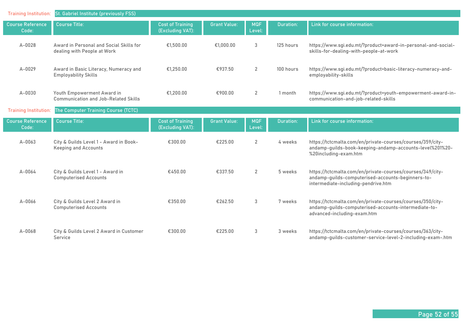| <b>Training Institution:</b>     | St. Gabriel Institute (previously FSS)                                    |                                             |                     |                      |                  |                                                                                                                                                        |
|----------------------------------|---------------------------------------------------------------------------|---------------------------------------------|---------------------|----------------------|------------------|--------------------------------------------------------------------------------------------------------------------------------------------------------|
| <b>Course Reference</b><br>Code: | <b>Course Title:</b>                                                      | <b>Cost of Training</b><br>(Excluding VAT): | <b>Grant Value:</b> | <b>MQF</b><br>Level: | <b>Duration:</b> | Link for course information:                                                                                                                           |
| A-0028                           | Award in Personal and Social Skills for<br>dealing with People at Work    | €1,500.00                                   | €1,000.00           | 3                    | 125 hours        | https://www.sgi.edu.mt/?product=award-in-personal-and-social-<br>skills-for-dealing-with-people-at-work                                                |
| A-0029                           | Award in Basic Literacy, Numeracy and<br><b>Employability Skills</b>      | €1.250.00                                   | €937.50             | $\overline{2}$       | 100 hours        | https://www.sgi.edu.mt/?product=basic-literacy-numeracy-and-<br>employability-skills                                                                   |
| A-0030                           | Youth Empowerment Award in<br><b>Communication and Job-Related Skills</b> | €1,200.00                                   | €900.00             | $\overline{2}$       | 1 month          | https://www.sgi.edu.mt/?product=youth-empowerment-award-in-<br>communication-and-job-related-skills                                                    |
| <b>Training Institution:</b>     | The Computer Training Course (TCTC)                                       |                                             |                     |                      |                  |                                                                                                                                                        |
| <b>Course Reference</b><br>Code: | <b>Course Title:</b>                                                      | <b>Cost of Training</b><br>(Excluding VAT): | <b>Grant Value:</b> | <b>MQF</b><br>Level: | Duration:        | Link for course information:                                                                                                                           |
| $A - 0063$                       | City & Guilds Level 1 - Award in Book-<br><b>Keeping and Accounts</b>     | €300.00                                     | €225.00             | $\overline{2}$       | 4 weeks          | https://tctcmalta.com/en/private-courses/courses/359/city-<br>andamp-guilds-book-keeping-andamp-accounts-level%201%20-<br>%20including-exam.htm        |
| A-0064                           | City & Guilds Level 1 - Award in<br><b>Computerised Accounts</b>          | €450.00                                     | €337.50             | $\overline{2}$       | 5 weeks          | https://tctcmalta.com/en/private-courses/courses/349/city-<br>andamp-guilds-computerised-accounts-beginners-to-<br>intermediate-including-pendrive.htm |
| A-0066                           | City & Guilds Level 2 Award in<br><b>Computerised Accounts</b>            | €350.00                                     | €262.50             | 3                    | 7 weeks          | https://tctcmalta.com/en/private-courses/courses/350/city-<br>andamp-guilds-computerised-accounts-intermediate-to-<br>advanced-including-exam.htm      |
| A-0068                           | City & Guilds Level 2 Award in Customer<br>Service                        | €300.00                                     | €225.00             | 3                    | 3 weeks          | https://tctcmalta.com/en/private-courses/courses/363/city-<br>andamp-guilds-customer-service-level-2-including-exam-.htm                               |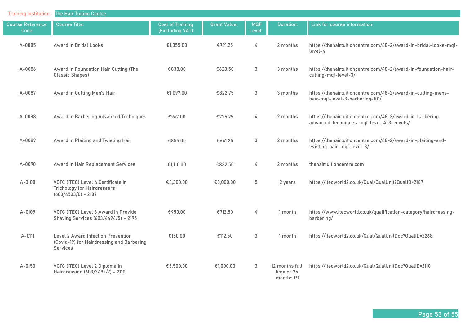| <b>Training Institution:</b>     | <b>The Hair Tuition Centre</b>                                                                     |                                             |                     |                      |                                           |                                                                                                        |
|----------------------------------|----------------------------------------------------------------------------------------------------|---------------------------------------------|---------------------|----------------------|-------------------------------------------|--------------------------------------------------------------------------------------------------------|
| <b>Course Reference</b><br>Code: | <b>Course Title:</b>                                                                               | <b>Cost of Training</b><br>(Excluding VAT): | <b>Grant Value:</b> | <b>MQF</b><br>Level: | <b>Duration:</b>                          | Link for course information:                                                                           |
| A-0085                           | <b>Award in Bridal Looks</b>                                                                       | €1,055.00                                   | €791.25             | 4                    | 2 months                                  | https://thehairtuitioncentre.com/48-2/award-in-bridal-looks-mqf-<br>level-4                            |
| A-0086                           | Award in Foundation Hair Cutting (The<br>Classic Shapes)                                           | €838,00                                     | €628.50             | 3                    | 3 months                                  | https://thehairtuitioncentre.com/48-2/award-in-foundation-hair-<br>cutting-mqf-level-3/                |
| A-0087                           | Award in Cutting Men's Hair                                                                        | €1,097.00                                   | €822.75             | $\mathfrak{S}$       | 3 months                                  | https://thehairtuitioncentre.com/48-2/award-in-cutting-mens-<br>hair-mqf-level-3-barbering-101/        |
| A-0088                           | Award in Barbering Advanced Techniques                                                             | €967.00                                     | €725.25             | 4                    | 2 months                                  | https://thehairtuitioncentre.com/48-2/award-in-barbering-<br>advanced-techniques-mqf-level-4-3-ecvets/ |
| A-0089                           | Award in Plaiting and Twisting Hair                                                                | €855.00                                     | €641.25             | 3                    | 2 months                                  | https://thehairtuitioncentre.com/48-2/award-in-plaiting-and-<br>twisting-hair-mqf-level-3/             |
| A-0090                           | Award in Hair Replacement Services                                                                 | €1,110.00                                   | €832.50             | 4                    | 2 months                                  | thehairtuitioncentre.com                                                                               |
| A-0108                           | VCTC (ITEC) Level 4 Certificate in<br><b>Trichology for Hairdressers</b><br>$(603/4533/0) - 2187$  | €4,300.00                                   | €3,000.00           | 5                    | 2 years                                   | https://itecworld2.co.uk/Qual/QualUnit?QualID=2187                                                     |
| A-0109                           | VCTC (ITEC) Level 3 Award in Provide<br>Shaving Services (603/4494/5) - 2195                       | €950.00                                     | €712.50             | 4                    | 1 month                                   | https://www.itecworld.co.uk/qualification-category/hairdressing-<br>barbering/                         |
| A-0111                           | <b>Level 2 Award Infection Prevention</b><br>(Covid-19) for Hairdressing and Barbering<br>Services | €150.00                                     | €112.50             | $\sqrt{3}$           | 1 month                                   | https://itecworld2.co.uk/Qual/QualUnitDoc?QualID=2268                                                  |
| $A - 0153$                       | VCTC (ITEC) Level 2 Diploma in<br>Hairdressing (603/3492/7) - 2110                                 | €3,500.00                                   | €1,000.00           | $\mathbf{3}$         | 12 months full<br>time or 24<br>months PT | https://itecworld2.co.uk/Qual/QualUnitDoc?QualID=2110                                                  |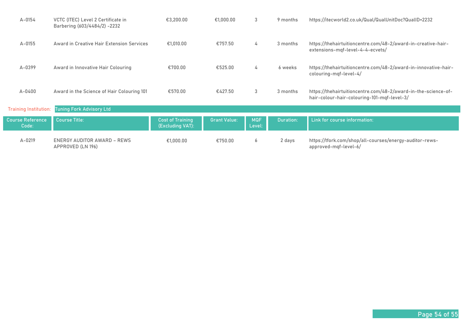| $A - 0154$                       | VCTC (ITEC) Level 2 Certificate in<br>Barbering (603/4484/2) -2232 | €3,200.00                                   | €1.000.00           | 3                    | 9 months         | https://itecworld2.co.uk/Qual/QualUnitDoc?QualID=2232                                                         |
|----------------------------------|--------------------------------------------------------------------|---------------------------------------------|---------------------|----------------------|------------------|---------------------------------------------------------------------------------------------------------------|
| $A - 0155$                       | Award in Creative Hair Extension Services                          | €1,010.00                                   | €757.50             | 4                    | 3 months         | https://thehairtuitioncentre.com/48-2/award-in-creative-hair-<br>extensions-mgf-level-4-4-ecvets/             |
| A-0399                           | Award in Innovative Hair Colouring                                 | €700.00                                     | €525.00             | 4                    | 6 weeks          | https://thehairtuitioncentre.com/48-2/award-in-innovative-hair-<br>colouring-mgf-level-4/                     |
| $A - 0400$                       | Award in the Science of Hair Colouring 101                         | €570.00                                     | €427.50             | 3                    | 3 months         | https://thehairtuitioncentre.com/48-2/award-in-the-science-of-<br>hair-colour-hair-colouring-101-mqf-level-3/ |
| <b>Training Institution:</b>     | <b>Tuning Fork Advisory Ltd</b>                                    |                                             |                     |                      |                  |                                                                                                               |
| <b>Course Reference</b><br>Code: | <b>Course Title:</b>                                               | <b>Cost of Training</b><br>(Excluding VAT): | <b>Grant Value:</b> | <b>MQF</b><br>Level: | <b>Duration:</b> | Link for course information:                                                                                  |
| $A - 0219$                       | <b>ENERGY AUDITOR AWARD - REWS</b><br>APPROVED (LN 196)            | €1,000.00                                   | €750.00             | 6                    | 2 days           | https://tfork.com/shop/all-courses/energy-auditor-rews-<br>approved-mgf-level-6/                              |